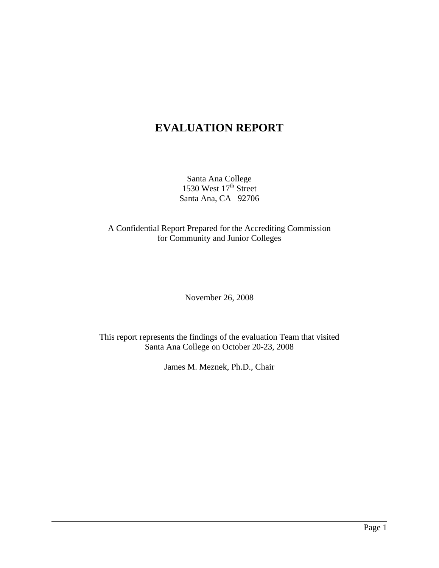# **EVALUATION REPORT**

Santa Ana College 1530 West  $17<sup>th</sup>$  Street Santa Ana, CA 92706

A Confidential Report Prepared for the Accrediting Commission for Community and Junior Colleges

November 26, 2008

This report represents the findings of the evaluation Team that visited Santa Ana College on October 20-23, 2008

James M. Meznek, Ph.D., Chair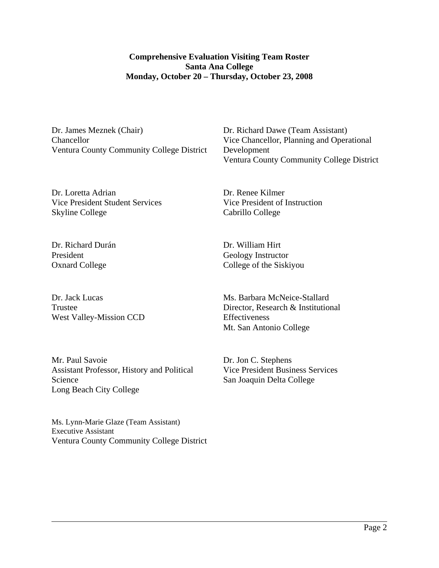## **Comprehensive Evaluation Visiting Team Roster Santa Ana College Monday, October 20 – Thursday, October 23, 2008**

Dr. James Meznek (Chair) Chancellor Ventura County Community College District Dr. Richard Dawe (Team Assistant) Vice Chancellor, Planning and Operational Development Ventura County Community College District

Dr. Loretta Adrian Vice President Student Services Skyline College

Dr. Richard Durán President Oxnard College

 $\overline{a}$ 

Dr. Jack Lucas Trustee West Valley-Mission CCD

Mr. Paul Savoie Assistant Professor, History and Political Science Long Beach City College

Ms. Lynn-Marie Glaze (Team Assistant) Executive Assistant Ventura County Community College District Dr. Renee Kilmer Vice President of Instruction Cabrillo College

Dr. William Hirt Geology Instructor College of the Siskiyou

Ms. Barbara McNeice-Stallard Director, Research & Institutional Effectiveness Mt. San Antonio College

Dr. Jon C. Stephens Vice President Business Services San Joaquin Delta College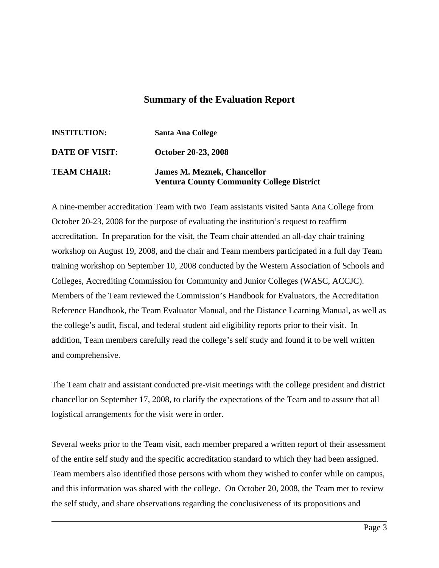## **Summary of the Evaluation Report**

| <b>INSTITUTION:</b>   | <b>Santa Ana College</b>                                                               |
|-----------------------|----------------------------------------------------------------------------------------|
| <b>DATE OF VISIT:</b> | October 20-23, 2008                                                                    |
| <b>TEAM CHAIR:</b>    | <b>James M. Meznek, Chancellor</b><br><b>Ventura County Community College District</b> |

A nine-member accreditation Team with two Team assistants visited Santa Ana College from October 20-23, 2008 for the purpose of evaluating the institution's request to reaffirm accreditation. In preparation for the visit, the Team chair attended an all-day chair training workshop on August 19, 2008, and the chair and Team members participated in a full day Team training workshop on September 10, 2008 conducted by the Western Association of Schools and Colleges, Accrediting Commission for Community and Junior Colleges (WASC, ACCJC). Members of the Team reviewed the Commission's Handbook for Evaluators, the Accreditation Reference Handbook, the Team Evaluator Manual, and the Distance Learning Manual, as well as the college's audit, fiscal, and federal student aid eligibility reports prior to their visit. In addition, Team members carefully read the college's self study and found it to be well written and comprehensive.

The Team chair and assistant conducted pre-visit meetings with the college president and district chancellor on September 17, 2008, to clarify the expectations of the Team and to assure that all logistical arrangements for the visit were in order.

Several weeks prior to the Team visit, each member prepared a written report of their assessment of the entire self study and the specific accreditation standard to which they had been assigned. Team members also identified those persons with whom they wished to confer while on campus, and this information was shared with the college. On October 20, 2008, the Team met to review the self study, and share observations regarding the conclusiveness of its propositions and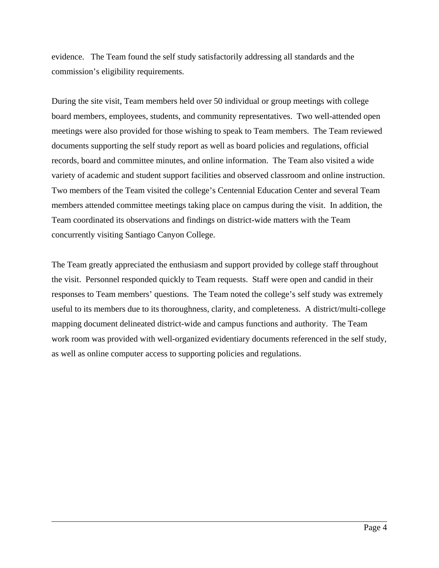evidence. The Team found the self study satisfactorily addressing all standards and the commission's eligibility requirements.

During the site visit, Team members held over 50 individual or group meetings with college board members, employees, students, and community representatives. Two well-attended open meetings were also provided for those wishing to speak to Team members. The Team reviewed documents supporting the self study report as well as board policies and regulations, official records, board and committee minutes, and online information. The Team also visited a wide variety of academic and student support facilities and observed classroom and online instruction. Two members of the Team visited the college's Centennial Education Center and several Team members attended committee meetings taking place on campus during the visit. In addition, the Team coordinated its observations and findings on district-wide matters with the Team concurrently visiting Santiago Canyon College.

The Team greatly appreciated the enthusiasm and support provided by college staff throughout the visit. Personnel responded quickly to Team requests. Staff were open and candid in their responses to Team members' questions. The Team noted the college's self study was extremely useful to its members due to its thoroughness, clarity, and completeness. A district/multi-college mapping document delineated district-wide and campus functions and authority. The Team work room was provided with well-organized evidentiary documents referenced in the self study, as well as online computer access to supporting policies and regulations.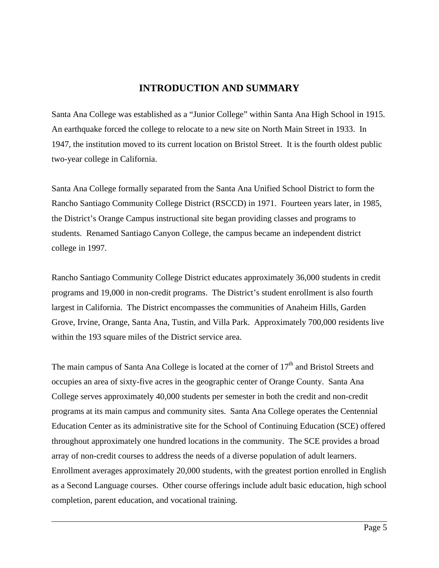## **INTRODUCTION AND SUMMARY**

Santa Ana College was established as a "Junior College" within Santa Ana High School in 1915. An earthquake forced the college to relocate to a new site on North Main Street in 1933. In 1947, the institution moved to its current location on Bristol Street. It is the fourth oldest public two-year college in California.

Santa Ana College formally separated from the Santa Ana Unified School District to form the Rancho Santiago Community College District (RSCCD) in 1971. Fourteen years later, in 1985, the District's Orange Campus instructional site began providing classes and programs to students. Renamed Santiago Canyon College, the campus became an independent district college in 1997.

Rancho Santiago Community College District educates approximately 36,000 students in credit programs and 19,000 in non-credit programs. The District's student enrollment is also fourth largest in California. The District encompasses the communities of Anaheim Hills, Garden Grove, Irvine, Orange, Santa Ana, Tustin, and Villa Park. Approximately 700,000 residents live within the 193 square miles of the District service area.

The main campus of Santa Ana College is located at the corner of  $17<sup>th</sup>$  and Bristol Streets and occupies an area of sixty-five acres in the geographic center of Orange County. Santa Ana College serves approximately 40,000 students per semester in both the credit and non-credit programs at its main campus and community sites. Santa Ana College operates the Centennial Education Center as its administrative site for the School of Continuing Education (SCE) offered throughout approximately one hundred locations in the community. The SCE provides a broad array of non-credit courses to address the needs of a diverse population of adult learners. Enrollment averages approximately 20,000 students, with the greatest portion enrolled in English as a Second Language courses. Other course offerings include adult basic education, high school completion, parent education, and vocational training.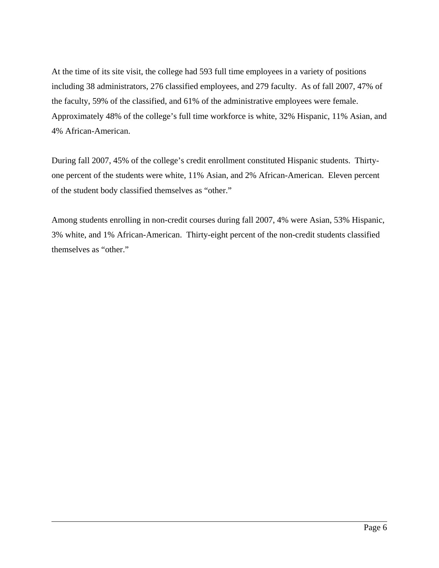At the time of its site visit, the college had 593 full time employees in a variety of positions including 38 administrators, 276 classified employees, and 279 faculty. As of fall 2007, 47% of the faculty, 59% of the classified, and 61% of the administrative employees were female. Approximately 48% of the college's full time workforce is white, 32% Hispanic, 11% Asian, and 4% African-American.

During fall 2007, 45% of the college's credit enrollment constituted Hispanic students. Thirtyone percent of the students were white, 11% Asian, and 2% African-American. Eleven percent of the student body classified themselves as "other."

Among students enrolling in non-credit courses during fall 2007, 4% were Asian, 53% Hispanic, 3% white, and 1% African-American. Thirty-eight percent of the non-credit students classified themselves as "other."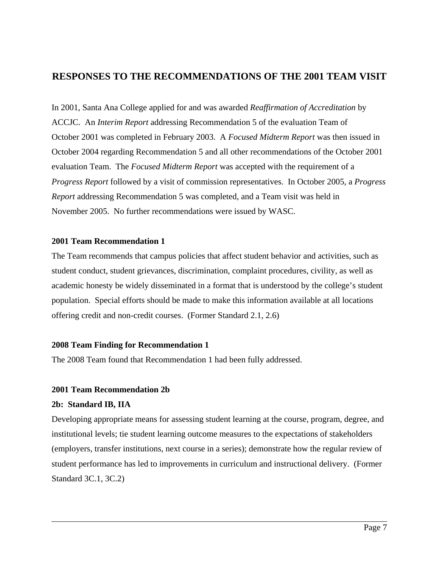## **RESPONSES TO THE RECOMMENDATIONS OF THE 2001 TEAM VISIT**

In 2001, Santa Ana College applied for and was awarded *Reaffirmation of Accreditation* by ACCJC. An *Interim Report* addressing Recommendation 5 of the evaluation Team of October 2001 was completed in February 2003. A *Focused Midterm Report* was then issued in October 2004 regarding Recommendation 5 and all other recommendations of the October 2001 evaluation Team. The *Focused Midterm Report* was accepted with the requirement of a *Progress Report* followed by a visit of commission representatives. In October 2005, a *Progress Report* addressing Recommendation 5 was completed, and a Team visit was held in November 2005. No further recommendations were issued by WASC.

### **2001 Team Recommendation 1**

The Team recommends that campus policies that affect student behavior and activities, such as student conduct, student grievances, discrimination, complaint procedures, civility, as well as academic honesty be widely disseminated in a format that is understood by the college's student population. Special efforts should be made to make this information available at all locations offering credit and non-credit courses. (Former Standard 2.1, 2.6)

## **2008 Team Finding for Recommendation 1**

The 2008 Team found that Recommendation 1 had been fully addressed.

### **2001 Team Recommendation 2b**

### **2b: Standard IB, IIA**

 $\overline{a}$ 

Developing appropriate means for assessing student learning at the course, program, degree, and institutional levels; tie student learning outcome measures to the expectations of stakeholders (employers, transfer institutions, next course in a series); demonstrate how the regular review of student performance has led to improvements in curriculum and instructional delivery. (Former Standard 3C.1, 3C.2)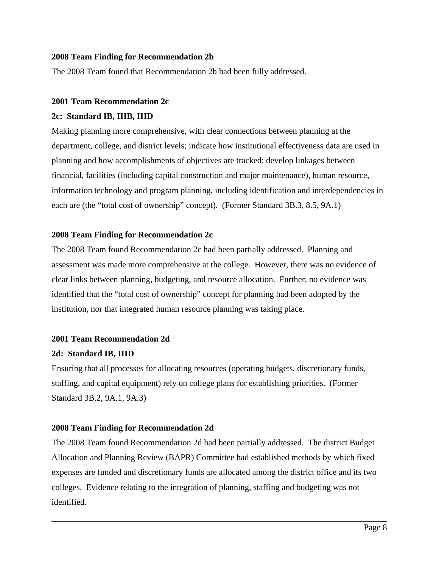## **2008 Team Finding for Recommendation 2b**

The 2008 Team found that Recommendation 2b had been fully addressed.

## **2001 Team Recommendation 2c**

## **2c: Standard IB, IIIB, IIID**

Making planning more comprehensive, with clear connections between planning at the department, college, and district levels; indicate how institutional effectiveness data are used in planning and how accomplishments of objectives are tracked; develop linkages between financial, facilities (including capital construction and major maintenance), human resource, information technology and program planning, including identification and interdependencies in each are (the "total cost of ownership" concept). (Former Standard 3B.3, 8.5, 9A.1)

## **2008 Team Finding for Recommendation 2c**

The 2008 Team found Recommendation 2c had been partially addressed. Planning and assessment was made more comprehensive at the college. However, there was no evidence of clear links between planning, budgeting, and resource allocation. Further, no evidence was identified that the "total cost of ownership" concept for planning had been adopted by the institution, nor that integrated human resource planning was taking place.

### **2001 Team Recommendation 2d**

### **2d: Standard IB, IIID**

 $\overline{a}$ 

Ensuring that all processes for allocating resources (operating budgets, discretionary funds, staffing, and capital equipment) rely on college plans for establishing priorities. (Former Standard 3B.2, 9A.1, 9A.3)

### **2008 Team Finding for Recommendation 2d**

The 2008 Team found Recommendation 2d had been partially addressed. The district Budget Allocation and Planning Review (BAPR) Committee had established methods by which fixed expenses are funded and discretionary funds are allocated among the district office and its two colleges. Evidence relating to the integration of planning, staffing and budgeting was not identified.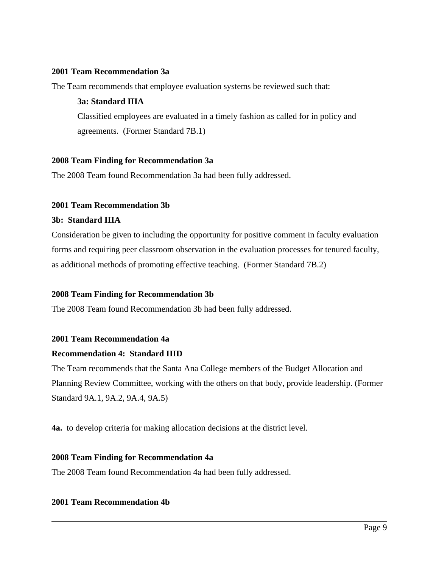## **2001 Team Recommendation 3a**

The Team recommends that employee evaluation systems be reviewed such that:

### **3a: Standard IIIA**

Classified employees are evaluated in a timely fashion as called for in policy and agreements. (Former Standard 7B.1)

## **2008 Team Finding for Recommendation 3a**

The 2008 Team found Recommendation 3a had been fully addressed.

## **2001 Team Recommendation 3b**

### **3b: Standard IIIA**

Consideration be given to including the opportunity for positive comment in faculty evaluation forms and requiring peer classroom observation in the evaluation processes for tenured faculty, as additional methods of promoting effective teaching. (Former Standard 7B.2)

### **2008 Team Finding for Recommendation 3b**

The 2008 Team found Recommendation 3b had been fully addressed.

### **2001 Team Recommendation 4a**

### **Recommendation 4: Standard IIID**

The Team recommends that the Santa Ana College members of the Budget Allocation and Planning Review Committee, working with the others on that body, provide leadership. (Former Standard 9A.1, 9A.2, 9A.4, 9A.5)

**4a.** to develop criteria for making allocation decisions at the district level.

### **2008 Team Finding for Recommendation 4a**

The 2008 Team found Recommendation 4a had been fully addressed.

### **2001 Team Recommendation 4b**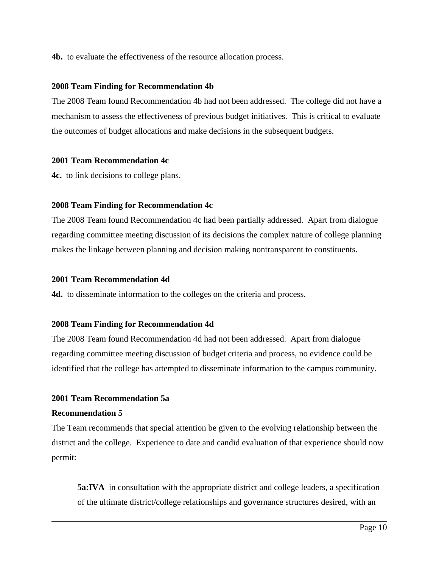**4b.** to evaluate the effectiveness of the resource allocation process.

## **2008 Team Finding for Recommendation 4b**

The 2008 Team found Recommendation 4b had not been addressed. The college did not have a mechanism to assess the effectiveness of previous budget initiatives. This is critical to evaluate the outcomes of budget allocations and make decisions in the subsequent budgets.

### **2001 Team Recommendation 4c**

**4c.** to link decisions to college plans.

## **2008 Team Finding for Recommendation 4c**

The 2008 Team found Recommendation 4c had been partially addressed. Apart from dialogue regarding committee meeting discussion of its decisions the complex nature of college planning makes the linkage between planning and decision making nontransparent to constituents.

### **2001 Team Recommendation 4d**

**4d.** to disseminate information to the colleges on the criteria and process.

## **2008 Team Finding for Recommendation 4d**

The 2008 Team found Recommendation 4d had not been addressed. Apart from dialogue regarding committee meeting discussion of budget criteria and process, no evidence could be identified that the college has attempted to disseminate information to the campus community.

## **2001 Team Recommendation 5a**

### **Recommendation 5**

 $\overline{a}$ 

The Team recommends that special attention be given to the evolving relationship between the district and the college. Experience to date and candid evaluation of that experience should now permit:

**5a:IVA** in consultation with the appropriate district and college leaders, a specification of the ultimate district/college relationships and governance structures desired, with an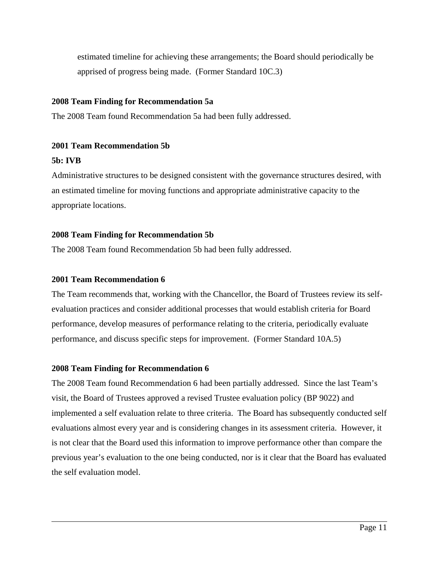estimated timeline for achieving these arrangements; the Board should periodically be apprised of progress being made. (Former Standard 10C.3)

## **2008 Team Finding for Recommendation 5a**

The 2008 Team found Recommendation 5a had been fully addressed.

## **2001 Team Recommendation 5b**

## **5b: IVB**

 $\overline{a}$ 

Administrative structures to be designed consistent with the governance structures desired, with an estimated timeline for moving functions and appropriate administrative capacity to the appropriate locations.

## **2008 Team Finding for Recommendation 5b**

The 2008 Team found Recommendation 5b had been fully addressed.

## **2001 Team Recommendation 6**

The Team recommends that, working with the Chancellor, the Board of Trustees review its selfevaluation practices and consider additional processes that would establish criteria for Board performance, develop measures of performance relating to the criteria, periodically evaluate performance, and discuss specific steps for improvement. (Former Standard 10A.5)

### **2008 Team Finding for Recommendation 6**

The 2008 Team found Recommendation 6 had been partially addressed. Since the last Team's visit, the Board of Trustees approved a revised Trustee evaluation policy (BP 9022) and implemented a self evaluation relate to three criteria. The Board has subsequently conducted self evaluations almost every year and is considering changes in its assessment criteria. However, it is not clear that the Board used this information to improve performance other than compare the previous year's evaluation to the one being conducted, nor is it clear that the Board has evaluated the self evaluation model.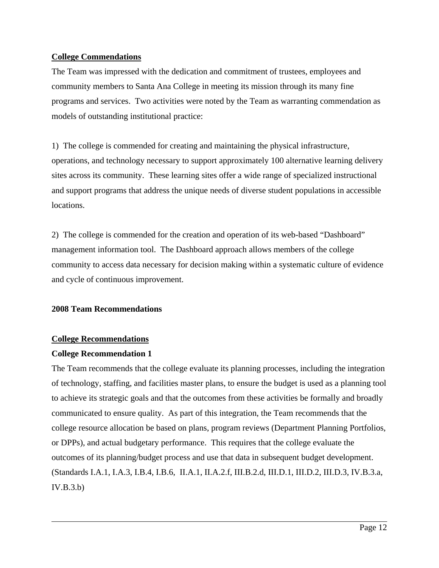## **College Commendations**

The Team was impressed with the dedication and commitment of trustees, employees and community members to Santa Ana College in meeting its mission through its many fine programs and services. Two activities were noted by the Team as warranting commendation as models of outstanding institutional practice:

1) The college is commended for creating and maintaining the physical infrastructure, operations, and technology necessary to support approximately 100 alternative learning delivery sites across its community. These learning sites offer a wide range of specialized instructional and support programs that address the unique needs of diverse student populations in accessible locations.

2) The college is commended for the creation and operation of its web-based "Dashboard" management information tool. The Dashboard approach allows members of the college community to access data necessary for decision making within a systematic culture of evidence and cycle of continuous improvement.

## **2008 Team Recommendations**

## **College Recommendations**

## **College Recommendation 1**

 $\overline{a}$ 

The Team recommends that the college evaluate its planning processes, including the integration of technology, staffing, and facilities master plans, to ensure the budget is used as a planning tool to achieve its strategic goals and that the outcomes from these activities be formally and broadly communicated to ensure quality. As part of this integration, the Team recommends that the college resource allocation be based on plans, program reviews (Department Planning Portfolios, or DPPs), and actual budgetary performance. This requires that the college evaluate the outcomes of its planning/budget process and use that data in subsequent budget development. (Standards I.A.1, I.A.3, I.B.4, I.B.6, II.A.1, II.A.2.f, III.B.2.d, III.D.1, III.D.2, III.D.3, IV.B.3.a, IV.B.3.b)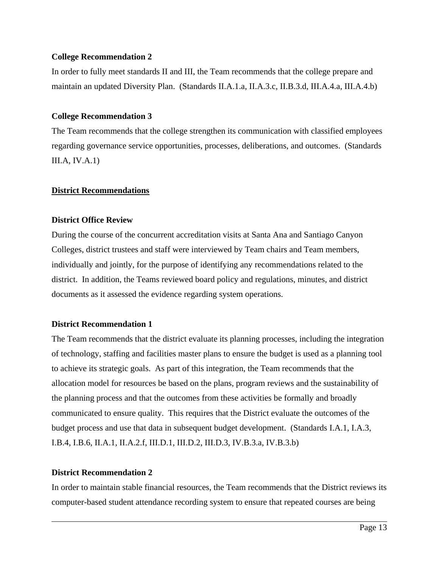## **College Recommendation 2**

In order to fully meet standards II and III, the Team recommends that the college prepare and maintain an updated Diversity Plan. (Standards II.A.1.a, II.A.3.c, II.B.3.d, III.A.4.a, III.A.4.b)

## **College Recommendation 3**

The Team recommends that the college strengthen its communication with classified employees regarding governance service opportunities, processes, deliberations, and outcomes. (Standards  $III.A, IV.A.1)$ 

## **District Recommendations**

## **District Office Review**

During the course of the concurrent accreditation visits at Santa Ana and Santiago Canyon Colleges, district trustees and staff were interviewed by Team chairs and Team members, individually and jointly, for the purpose of identifying any recommendations related to the district. In addition, the Teams reviewed board policy and regulations, minutes, and district documents as it assessed the evidence regarding system operations.

### **District Recommendation 1**

The Team recommends that the district evaluate its planning processes, including the integration of technology, staffing and facilities master plans to ensure the budget is used as a planning tool to achieve its strategic goals. As part of this integration, the Team recommends that the allocation model for resources be based on the plans, program reviews and the sustainability of the planning process and that the outcomes from these activities be formally and broadly communicated to ensure quality. This requires that the District evaluate the outcomes of the budget process and use that data in subsequent budget development. (Standards I.A.1, I.A.3, I.B.4, I.B.6, II.A.1, II.A.2.f, III.D.1, III.D.2, III.D.3, IV.B.3.a, IV.B.3.b)

## **District Recommendation 2**

 $\overline{a}$ 

In order to maintain stable financial resources, the Team recommends that the District reviews its computer-based student attendance recording system to ensure that repeated courses are being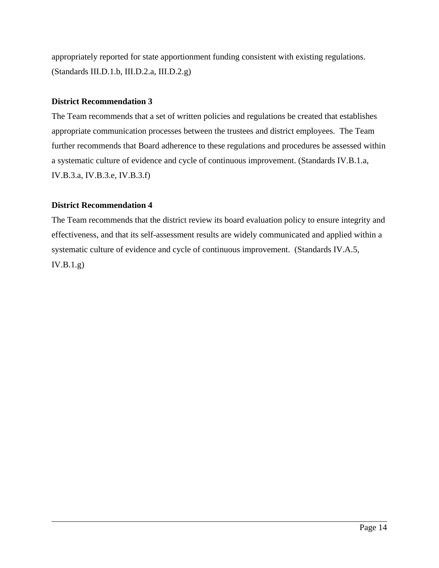appropriately reported for state apportionment funding consistent with existing regulations. (Standards III.D.1.b, III.D.2.a, III.D.2.g)

## **District Recommendation 3**

The Team recommends that a set of written policies and regulations be created that establishes appropriate communication processes between the trustees and district employees. The Team further recommends that Board adherence to these regulations and procedures be assessed within a systematic culture of evidence and cycle of continuous improvement. (Standards IV.B.1.a, IV.B.3.a, IV.B.3.e, IV.B.3.f)

## **District Recommendation 4**

 $\overline{a}$ 

The Team recommends that the district review its board evaluation policy to ensure integrity and effectiveness, and that its self-assessment results are widely communicated and applied within a systematic culture of evidence and cycle of continuous improvement. (Standards IV.A.5, IV.B.1.g)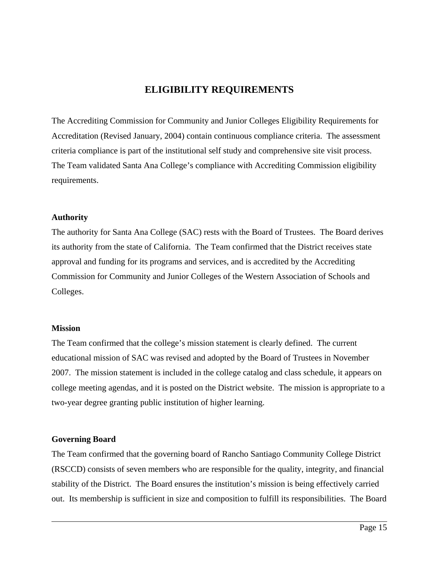## **ELIGIBILITY REQUIREMENTS**

The Accrediting Commission for Community and Junior Colleges Eligibility Requirements for Accreditation (Revised January, 2004) contain continuous compliance criteria. The assessment criteria compliance is part of the institutional self study and comprehensive site visit process. The Team validated Santa Ana College's compliance with Accrediting Commission eligibility requirements.

### **Authority**

The authority for Santa Ana College (SAC) rests with the Board of Trustees. The Board derives its authority from the state of California. The Team confirmed that the District receives state approval and funding for its programs and services, and is accredited by the Accrediting Commission for Community and Junior Colleges of the Western Association of Schools and Colleges.

### **Mission**

The Team confirmed that the college's mission statement is clearly defined. The current educational mission of SAC was revised and adopted by the Board of Trustees in November 2007. The mission statement is included in the college catalog and class schedule, it appears on college meeting agendas, and it is posted on the District website. The mission is appropriate to a two-year degree granting public institution of higher learning.

## **Governing Board**

 $\overline{a}$ 

The Team confirmed that the governing board of Rancho Santiago Community College District (RSCCD) consists of seven members who are responsible for the quality, integrity, and financial stability of the District. The Board ensures the institution's mission is being effectively carried out. Its membership is sufficient in size and composition to fulfill its responsibilities. The Board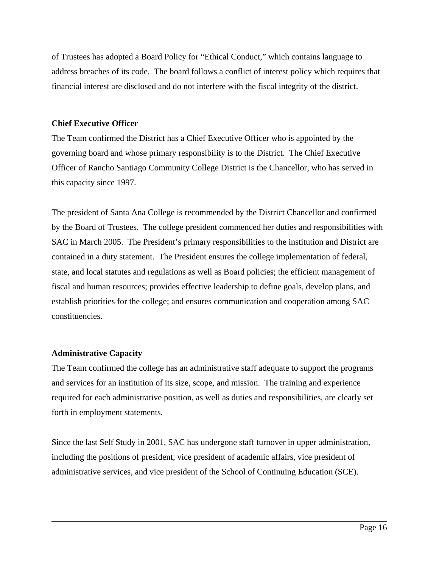of Trustees has adopted a Board Policy for "Ethical Conduct," which contains language to address breaches of its code. The board follows a conflict of interest policy which requires that financial interest are disclosed and do not interfere with the fiscal integrity of the district.

## **Chief Executive Officer**

The Team confirmed the District has a Chief Executive Officer who is appointed by the governing board and whose primary responsibility is to the District. The Chief Executive Officer of Rancho Santiago Community College District is the Chancellor, who has served in this capacity since 1997.

The president of Santa Ana College is recommended by the District Chancellor and confirmed by the Board of Trustees. The college president commenced her duties and responsibilities with SAC in March 2005. The President's primary responsibilities to the institution and District are contained in a duty statement. The President ensures the college implementation of federal, state, and local statutes and regulations as well as Board policies; the efficient management of fiscal and human resources; provides effective leadership to define goals, develop plans, and establish priorities for the college; and ensures communication and cooperation among SAC constituencies.

## **Administrative Capacity**

 $\overline{a}$ 

The Team confirmed the college has an administrative staff adequate to support the programs and services for an institution of its size, scope, and mission. The training and experience required for each administrative position, as well as duties and responsibilities, are clearly set forth in employment statements.

Since the last Self Study in 2001, SAC has undergone staff turnover in upper administration, including the positions of president, vice president of academic affairs, vice president of administrative services, and vice president of the School of Continuing Education (SCE).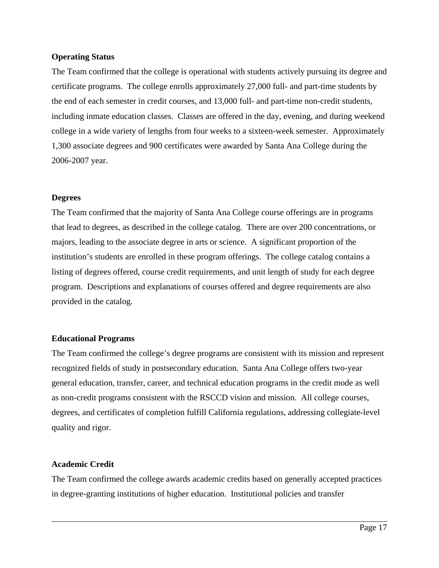## **Operating Status**

The Team confirmed that the college is operational with students actively pursuing its degree and certificate programs. The college enrolls approximately 27,000 full- and part-time students by the end of each semester in credit courses, and 13,000 full- and part-time non-credit students, including inmate education classes. Classes are offered in the day, evening, and during weekend college in a wide variety of lengths from four weeks to a sixteen-week semester. Approximately 1,300 associate degrees and 900 certificates were awarded by Santa Ana College during the 2006-2007 year.

## **Degrees**

The Team confirmed that the majority of Santa Ana College course offerings are in programs that lead to degrees, as described in the college catalog. There are over 200 concentrations, or majors, leading to the associate degree in arts or science. A significant proportion of the institution's students are enrolled in these program offerings. The college catalog contains a listing of degrees offered, course credit requirements, and unit length of study for each degree program. Descriptions and explanations of courses offered and degree requirements are also provided in the catalog.

## **Educational Programs**

The Team confirmed the college's degree programs are consistent with its mission and represent recognized fields of study in postsecondary education. Santa Ana College offers two-year general education, transfer, career, and technical education programs in the credit mode as well as non-credit programs consistent with the RSCCD vision and mission. All college courses, degrees, and certificates of completion fulfill California regulations, addressing collegiate-level quality and rigor.

### **Academic Credit**

 $\overline{a}$ 

The Team confirmed the college awards academic credits based on generally accepted practices in degree-granting institutions of higher education. Institutional policies and transfer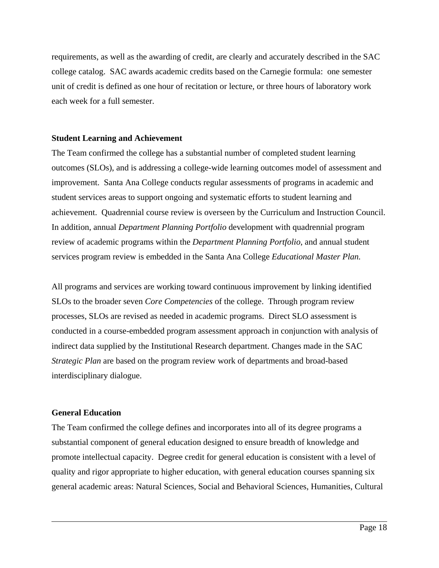requirements, as well as the awarding of credit, are clearly and accurately described in the SAC college catalog. SAC awards academic credits based on the Carnegie formula: one semester unit of credit is defined as one hour of recitation or lecture, or three hours of laboratory work each week for a full semester.

## **Student Learning and Achievement**

The Team confirmed the college has a substantial number of completed student learning outcomes (SLOs), and is addressing a college-wide learning outcomes model of assessment and improvement. Santa Ana College conducts regular assessments of programs in academic and student services areas to support ongoing and systematic efforts to student learning and achievement. Quadrennial course review is overseen by the Curriculum and Instruction Council. In addition, annual *Department Planning Portfolio* development with quadrennial program review of academic programs within the *Department Planning Portfolio*, and annual student services program review is embedded in the Santa Ana College *Educational Master Plan.*

All programs and services are working toward continuous improvement by linking identified SLOs to the broader seven *Core Competencies* of the college. Through program review processes, SLOs are revised as needed in academic programs. Direct SLO assessment is conducted in a course-embedded program assessment approach in conjunction with analysis of indirect data supplied by the Institutional Research department. Changes made in the SAC *Strategic Plan* are based on the program review work of departments and broad-based interdisciplinary dialogue.

## **General Education**

 $\overline{a}$ 

The Team confirmed the college defines and incorporates into all of its degree programs a substantial component of general education designed to ensure breadth of knowledge and promote intellectual capacity. Degree credit for general education is consistent with a level of quality and rigor appropriate to higher education, with general education courses spanning six general academic areas: Natural Sciences, Social and Behavioral Sciences, Humanities, Cultural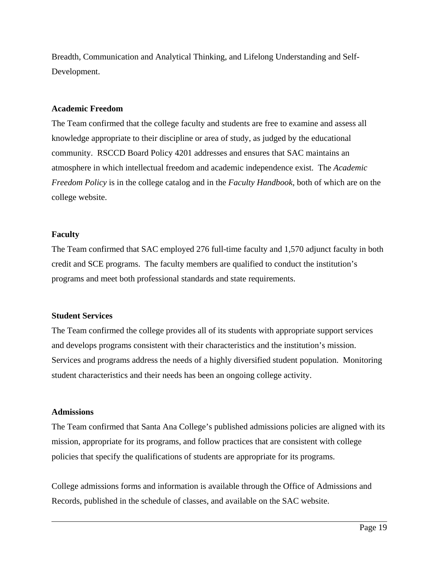Breadth, Communication and Analytical Thinking, and Lifelong Understanding and Self-Development.

#### **Academic Freedom**

The Team confirmed that the college faculty and students are free to examine and assess all knowledge appropriate to their discipline or area of study, as judged by the educational community. RSCCD Board Policy 4201 addresses and ensures that SAC maintains an atmosphere in which intellectual freedom and academic independence exist. The *Academic Freedom Policy* is in the college catalog and in the *Faculty Handbook*, both of which are on the college website.

### **Faculty**

The Team confirmed that SAC employed 276 full-time faculty and 1,570 adjunct faculty in both credit and SCE programs. The faculty members are qualified to conduct the institution's programs and meet both professional standards and state requirements.

### **Student Services**

The Team confirmed the college provides all of its students with appropriate support services and develops programs consistent with their characteristics and the institution's mission. Services and programs address the needs of a highly diversified student population. Monitoring student characteristics and their needs has been an ongoing college activity.

### **Admissions**

 $\overline{a}$ 

The Team confirmed that Santa Ana College's published admissions policies are aligned with its mission, appropriate for its programs, and follow practices that are consistent with college policies that specify the qualifications of students are appropriate for its programs.

College admissions forms and information is available through the Office of Admissions and Records, published in the schedule of classes, and available on the SAC website.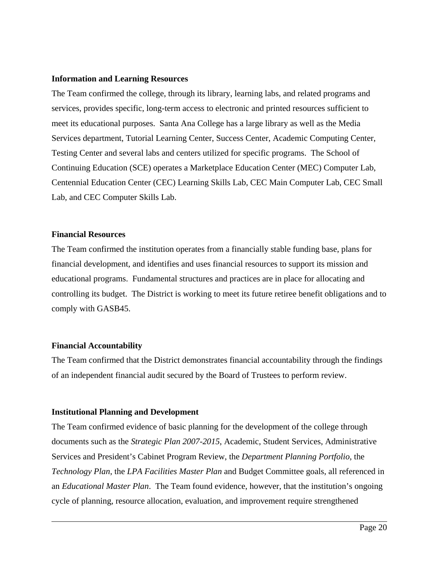#### **Information and Learning Resources**

The Team confirmed the college, through its library, learning labs, and related programs and services, provides specific, long-term access to electronic and printed resources sufficient to meet its educational purposes. Santa Ana College has a large library as well as the Media Services department, Tutorial Learning Center, Success Center, Academic Computing Center, Testing Center and several labs and centers utilized for specific programs. The School of Continuing Education (SCE) operates a Marketplace Education Center (MEC) Computer Lab, Centennial Education Center (CEC) Learning Skills Lab, CEC Main Computer Lab, CEC Small Lab, and CEC Computer Skills Lab.

## **Financial Resources**

The Team confirmed the institution operates from a financially stable funding base, plans for financial development, and identifies and uses financial resources to support its mission and educational programs. Fundamental structures and practices are in place for allocating and controlling its budget. The District is working to meet its future retiree benefit obligations and to comply with GASB45.

### **Financial Accountability**

 $\overline{a}$ 

The Team confirmed that the District demonstrates financial accountability through the findings of an independent financial audit secured by the Board of Trustees to perform review.

### **Institutional Planning and Development**

The Team confirmed evidence of basic planning for the development of the college through documents such as the *Strategic Plan 2007-2015*, Academic, Student Services, Administrative Services and President's Cabinet Program Review, the *Department Planning Portfolio*, the *Technology Plan*, the *LPA Facilities Master Plan* and Budget Committee goals, all referenced in an *Educational Master Plan*. The Team found evidence, however, that the institution's ongoing cycle of planning, resource allocation, evaluation, and improvement require strengthened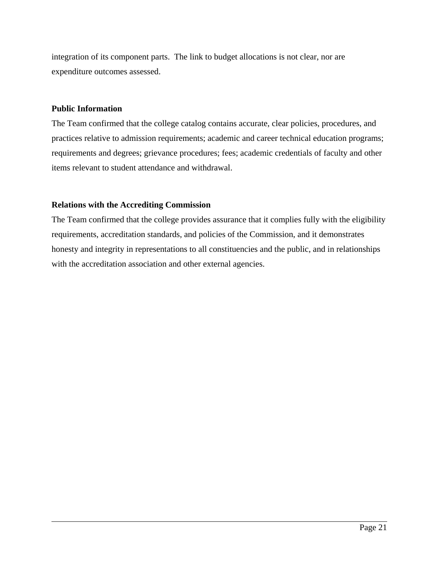integration of its component parts. The link to budget allocations is not clear, nor are expenditure outcomes assessed.

## **Public Information**

 $\overline{a}$ 

The Team confirmed that the college catalog contains accurate, clear policies, procedures, and practices relative to admission requirements; academic and career technical education programs; requirements and degrees; grievance procedures; fees; academic credentials of faculty and other items relevant to student attendance and withdrawal.

## **Relations with the Accrediting Commission**

The Team confirmed that the college provides assurance that it complies fully with the eligibility requirements, accreditation standards, and policies of the Commission, and it demonstrates honesty and integrity in representations to all constituencies and the public, and in relationships with the accreditation association and other external agencies.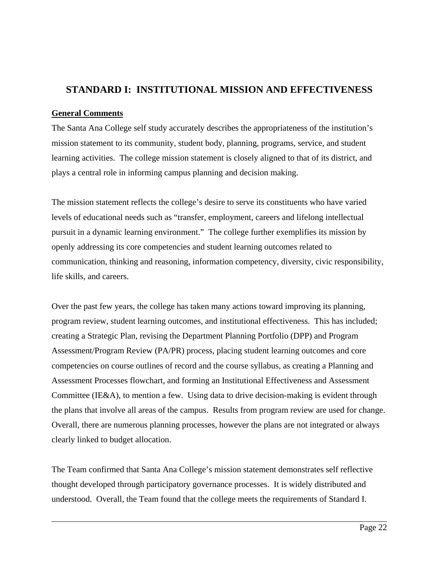## **STANDARD I: INSTITUTIONAL MISSION AND EFFECTIVENESS**

## **General Comments**

 $\overline{a}$ 

The Santa Ana College self study accurately describes the appropriateness of the institution's mission statement to its community, student body, planning, programs, service, and student learning activities. The college mission statement is closely aligned to that of its district, and plays a central role in informing campus planning and decision making.

The mission statement reflects the college's desire to serve its constituents who have varied levels of educational needs such as "transfer, employment, careers and lifelong intellectual pursuit in a dynamic learning environment." The college further exemplifies its mission by openly addressing its core competencies and student learning outcomes related to communication, thinking and reasoning, information competency, diversity, civic responsibility, life skills, and careers.

Over the past few years, the college has taken many actions toward improving its planning, program review, student learning outcomes, and institutional effectiveness. This has included; creating a Strategic Plan, revising the Department Planning Portfolio (DPP) and Program Assessment/Program Review (PA/PR) process, placing student learning outcomes and core competencies on course outlines of record and the course syllabus, as creating a Planning and Assessment Processes flowchart, and forming an Institutional Effectiveness and Assessment Committee (IE&A), to mention a few. Using data to drive decision-making is evident through the plans that involve all areas of the campus. Results from program review are used for change. Overall, there are numerous planning processes, however the plans are not integrated or always clearly linked to budget allocation.

The Team confirmed that Santa Ana College's mission statement demonstrates self reflective thought developed through participatory governance processes. It is widely distributed and understood. Overall, the Team found that the college meets the requirements of Standard I.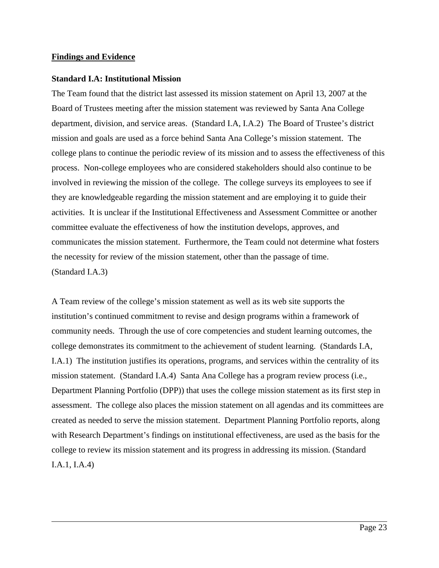### **Findings and Evidence**

 $\overline{a}$ 

#### **Standard I.A: Institutional Mission**

The Team found that the district last assessed its mission statement on April 13, 2007 at the Board of Trustees meeting after the mission statement was reviewed by Santa Ana College department, division, and service areas. (Standard I.A, I.A.2) The Board of Trustee's district mission and goals are used as a force behind Santa Ana College's mission statement. The college plans to continue the periodic review of its mission and to assess the effectiveness of this process. Non-college employees who are considered stakeholders should also continue to be involved in reviewing the mission of the college. The college surveys its employees to see if they are knowledgeable regarding the mission statement and are employing it to guide their activities. It is unclear if the Institutional Effectiveness and Assessment Committee or another committee evaluate the effectiveness of how the institution develops, approves, and communicates the mission statement. Furthermore, the Team could not determine what fosters the necessity for review of the mission statement, other than the passage of time. (Standard I.A.3)

A Team review of the college's mission statement as well as its web site supports the institution's continued commitment to revise and design programs within a framework of community needs. Through the use of core competencies and student learning outcomes, the college demonstrates its commitment to the achievement of student learning. (Standards I.A, I.A.1) The institution justifies its operations, programs, and services within the centrality of its mission statement. (Standard I.A.4) Santa Ana College has a program review process (i.e., Department Planning Portfolio (DPP)) that uses the college mission statement as its first step in assessment. The college also places the mission statement on all agendas and its committees are created as needed to serve the mission statement. Department Planning Portfolio reports, along with Research Department's findings on institutional effectiveness, are used as the basis for the college to review its mission statement and its progress in addressing its mission. (Standard I.A.1, I.A.4)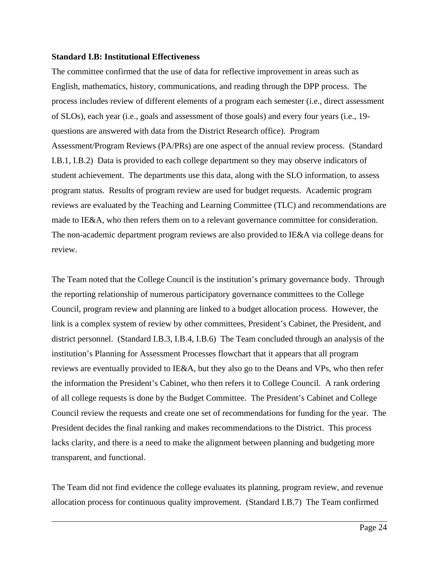#### **Standard I.B: Institutional Effectiveness**

 $\overline{a}$ 

The committee confirmed that the use of data for reflective improvement in areas such as English, mathematics, history, communications, and reading through the DPP process. The process includes review of different elements of a program each semester (i.e., direct assessment of SLOs), each year (i.e., goals and assessment of those goals) and every four years (i.e., 19 questions are answered with data from the District Research office). Program Assessment/Program Reviews (PA/PRs) are one aspect of the annual review process. (Standard I.B.1, I.B.2) Data is provided to each college department so they may observe indicators of student achievement. The departments use this data, along with the SLO information, to assess program status. Results of program review are used for budget requests. Academic program reviews are evaluated by the Teaching and Learning Committee (TLC) and recommendations are made to IE&A, who then refers them on to a relevant governance committee for consideration. The non-academic department program reviews are also provided to IE&A via college deans for review.

The Team noted that the College Council is the institution's primary governance body. Through the reporting relationship of numerous participatory governance committees to the College Council, program review and planning are linked to a budget allocation process. However, the link is a complex system of review by other committees, President's Cabinet, the President, and district personnel. (Standard I.B.3, I.B.4, I.B.6) The Team concluded through an analysis of the institution's Planning for Assessment Processes flowchart that it appears that all program reviews are eventually provided to IE&A, but they also go to the Deans and VPs, who then refer the information the President's Cabinet, who then refers it to College Council. A rank ordering of all college requests is done by the Budget Committee. The President's Cabinet and College Council review the requests and create one set of recommendations for funding for the year. The President decides the final ranking and makes recommendations to the District. This process lacks clarity, and there is a need to make the alignment between planning and budgeting more transparent, and functional.

The Team did not find evidence the college evaluates its planning, program review, and revenue allocation process for continuous quality improvement. (Standard I.B.7) The Team confirmed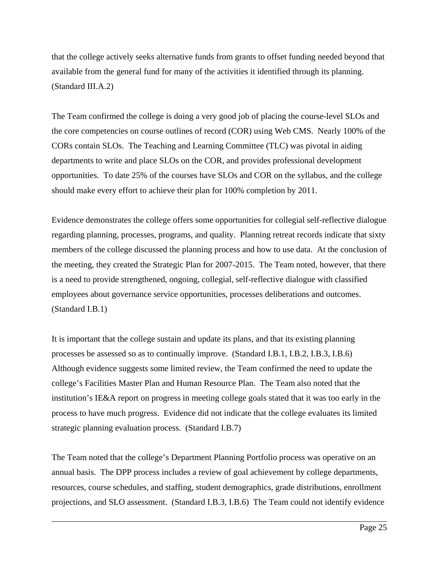that the college actively seeks alternative funds from grants to offset funding needed beyond that available from the general fund for many of the activities it identified through its planning. (Standard III.A.2)

The Team confirmed the college is doing a very good job of placing the course-level SLOs and the core competencies on course outlines of record (COR) using Web CMS. Nearly 100% of the CORs contain SLOs. The Teaching and Learning Committee (TLC) was pivotal in aiding departments to write and place SLOs on the COR, and provides professional development opportunities. To date 25% of the courses have SLOs and COR on the syllabus, and the college should make every effort to achieve their plan for 100% completion by 2011.

Evidence demonstrates the college offers some opportunities for collegial self-reflective dialogue regarding planning, processes, programs, and quality. Planning retreat records indicate that sixty members of the college discussed the planning process and how to use data. At the conclusion of the meeting, they created the Strategic Plan for 2007-2015. The Team noted, however, that there is a need to provide strengthened, ongoing, collegial, self-reflective dialogue with classified employees about governance service opportunities, processes deliberations and outcomes. (Standard I.B.1)

It is important that the college sustain and update its plans, and that its existing planning processes be assessed so as to continually improve. (Standard I.B.1, I.B.2, I.B.3, I.B.6) Although evidence suggests some limited review, the Team confirmed the need to update the college's Facilities Master Plan and Human Resource Plan. The Team also noted that the institution's IE&A report on progress in meeting college goals stated that it was too early in the process to have much progress. Evidence did not indicate that the college evaluates its limited strategic planning evaluation process. (Standard I.B.7)

The Team noted that the college's Department Planning Portfolio process was operative on an annual basis. The DPP process includes a review of goal achievement by college departments, resources, course schedules, and staffing, student demographics, grade distributions, enrollment projections, and SLO assessment. (Standard I.B.3, I.B.6) The Team could not identify evidence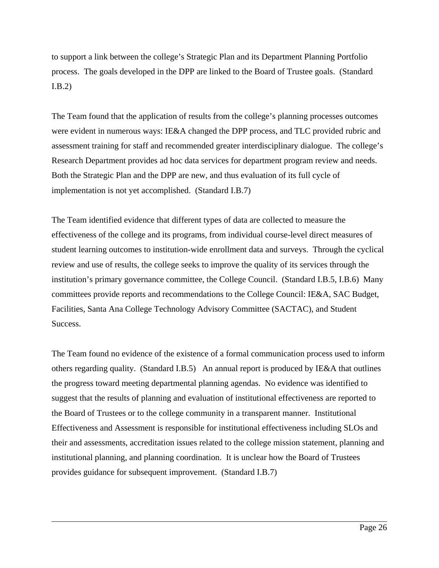to support a link between the college's Strategic Plan and its Department Planning Portfolio process. The goals developed in the DPP are linked to the Board of Trustee goals. (Standard I.B.2)

The Team found that the application of results from the college's planning processes outcomes were evident in numerous ways: IE&A changed the DPP process, and TLC provided rubric and assessment training for staff and recommended greater interdisciplinary dialogue. The college's Research Department provides ad hoc data services for department program review and needs. Both the Strategic Plan and the DPP are new, and thus evaluation of its full cycle of implementation is not yet accomplished. (Standard I.B.7)

The Team identified evidence that different types of data are collected to measure the effectiveness of the college and its programs, from individual course-level direct measures of student learning outcomes to institution-wide enrollment data and surveys. Through the cyclical review and use of results, the college seeks to improve the quality of its services through the institution's primary governance committee, the College Council. (Standard I.B.5, I.B.6) Many committees provide reports and recommendations to the College Council: IE&A, SAC Budget, Facilities, Santa Ana College Technology Advisory Committee (SACTAC), and Student Success.

The Team found no evidence of the existence of a formal communication process used to inform others regarding quality. (Standard I.B.5) An annual report is produced by IE&A that outlines the progress toward meeting departmental planning agendas. No evidence was identified to suggest that the results of planning and evaluation of institutional effectiveness are reported to the Board of Trustees or to the college community in a transparent manner. Institutional Effectiveness and Assessment is responsible for institutional effectiveness including SLOs and their and assessments, accreditation issues related to the college mission statement, planning and institutional planning, and planning coordination. It is unclear how the Board of Trustees provides guidance for subsequent improvement. (Standard I.B.7)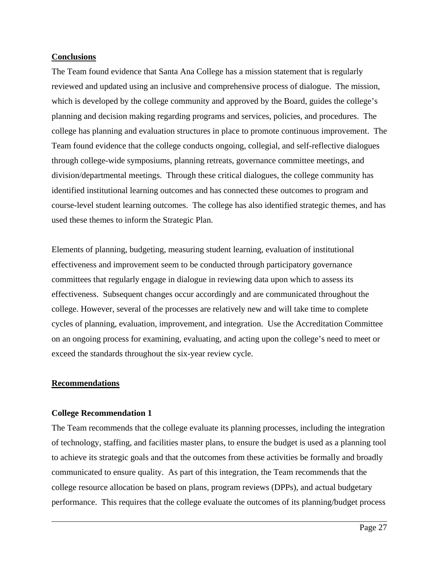## **Conclusions**

The Team found evidence that Santa Ana College has a mission statement that is regularly reviewed and updated using an inclusive and comprehensive process of dialogue. The mission, which is developed by the college community and approved by the Board, guides the college's planning and decision making regarding programs and services, policies, and procedures. The college has planning and evaluation structures in place to promote continuous improvement. The Team found evidence that the college conducts ongoing, collegial, and self-reflective dialogues through college-wide symposiums, planning retreats, governance committee meetings, and division/departmental meetings. Through these critical dialogues, the college community has identified institutional learning outcomes and has connected these outcomes to program and course-level student learning outcomes. The college has also identified strategic themes, and has used these themes to inform the Strategic Plan.

Elements of planning, budgeting, measuring student learning, evaluation of institutional effectiveness and improvement seem to be conducted through participatory governance committees that regularly engage in dialogue in reviewing data upon which to assess its effectiveness. Subsequent changes occur accordingly and are communicated throughout the college. However, several of the processes are relatively new and will take time to complete cycles of planning, evaluation, improvement, and integration. Use the Accreditation Committee on an ongoing process for examining, evaluating, and acting upon the college's need to meet or exceed the standards throughout the six-year review cycle.

### **Recommendations**

 $\overline{a}$ 

### **College Recommendation 1**

The Team recommends that the college evaluate its planning processes, including the integration of technology, staffing, and facilities master plans, to ensure the budget is used as a planning tool to achieve its strategic goals and that the outcomes from these activities be formally and broadly communicated to ensure quality. As part of this integration, the Team recommends that the college resource allocation be based on plans, program reviews (DPPs), and actual budgetary performance. This requires that the college evaluate the outcomes of its planning/budget process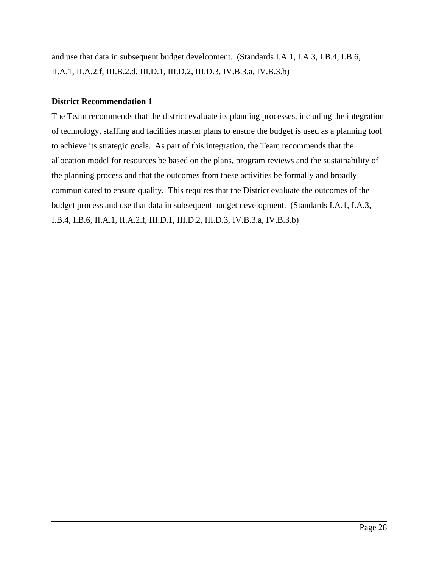and use that data in subsequent budget development. (Standards I.A.1, I.A.3, I.B.4, I.B.6, II.A.1, II.A.2.f, III.B.2.d, III.D.1, III.D.2, III.D.3, IV.B.3.a, IV.B.3.b)

## **District Recommendation 1**

 $\overline{a}$ 

The Team recommends that the district evaluate its planning processes, including the integration of technology, staffing and facilities master plans to ensure the budget is used as a planning tool to achieve its strategic goals. As part of this integration, the Team recommends that the allocation model for resources be based on the plans, program reviews and the sustainability of the planning process and that the outcomes from these activities be formally and broadly communicated to ensure quality. This requires that the District evaluate the outcomes of the budget process and use that data in subsequent budget development. (Standards I.A.1, I.A.3, I.B.4, I.B.6, II.A.1, II.A.2.f, III.D.1, III.D.2, III.D.3, IV.B.3.a, IV.B.3.b)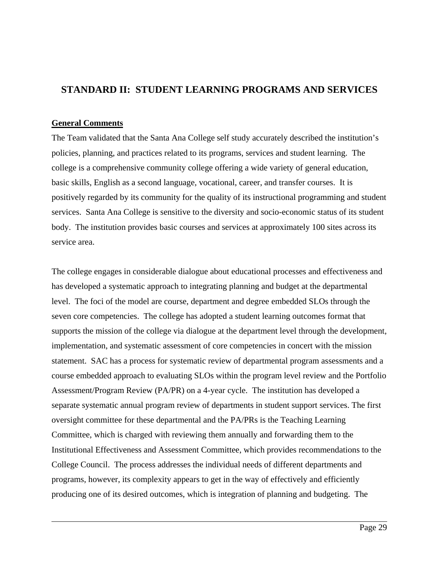## **STANDARD II: STUDENT LEARNING PROGRAMS AND SERVICES**

## **General Comments**

 $\overline{a}$ 

The Team validated that the Santa Ana College self study accurately described the institution's policies, planning, and practices related to its programs, services and student learning. The college is a comprehensive community college offering a wide variety of general education, basic skills, English as a second language, vocational, career, and transfer courses. It is positively regarded by its community for the quality of its instructional programming and student services. Santa Ana College is sensitive to the diversity and socio-economic status of its student body. The institution provides basic courses and services at approximately 100 sites across its service area.

The college engages in considerable dialogue about educational processes and effectiveness and has developed a systematic approach to integrating planning and budget at the departmental level. The foci of the model are course, department and degree embedded SLOs through the seven core competencies. The college has adopted a student learning outcomes format that supports the mission of the college via dialogue at the department level through the development, implementation, and systematic assessment of core competencies in concert with the mission statement. SAC has a process for systematic review of departmental program assessments and a course embedded approach to evaluating SLOs within the program level review and the Portfolio Assessment/Program Review (PA/PR) on a 4-year cycle. The institution has developed a separate systematic annual program review of departments in student support services. The first oversight committee for these departmental and the PA/PRs is the Teaching Learning Committee, which is charged with reviewing them annually and forwarding them to the Institutional Effectiveness and Assessment Committee, which provides recommendations to the College Council. The process addresses the individual needs of different departments and programs, however, its complexity appears to get in the way of effectively and efficiently producing one of its desired outcomes, which is integration of planning and budgeting. The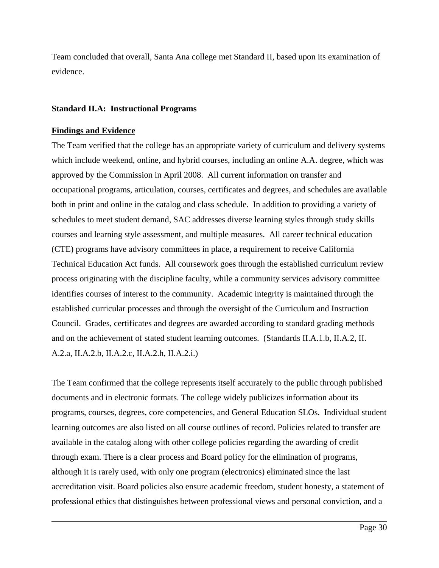Team concluded that overall, Santa Ana college met Standard II, based upon its examination of evidence.

#### **Standard II.A: Instructional Programs**

#### **Findings and Evidence**

 $\overline{a}$ 

The Team verified that the college has an appropriate variety of curriculum and delivery systems which include weekend, online, and hybrid courses, including an online A.A. degree, which was approved by the Commission in April 2008. All current information on transfer and occupational programs, articulation, courses, certificates and degrees, and schedules are available both in print and online in the catalog and class schedule. In addition to providing a variety of schedules to meet student demand, SAC addresses diverse learning styles through study skills courses and learning style assessment, and multiple measures. All career technical education (CTE) programs have advisory committees in place, a requirement to receive California Technical Education Act funds. All coursework goes through the established curriculum review process originating with the discipline faculty, while a community services advisory committee identifies courses of interest to the community. Academic integrity is maintained through the established curricular processes and through the oversight of the Curriculum and Instruction Council. Grades, certificates and degrees are awarded according to standard grading methods and on the achievement of stated student learning outcomes. (Standards II.A.1.b, II.A.2, II. A.2.a, II.A.2.b, II.A.2.c, II.A.2.h, II.A.2.i.)

The Team confirmed that the college represents itself accurately to the public through published documents and in electronic formats. The college widely publicizes information about its programs, courses, degrees, core competencies, and General Education SLOs. Individual student learning outcomes are also listed on all course outlines of record. Policies related to transfer are available in the catalog along with other college policies regarding the awarding of credit through exam. There is a clear process and Board policy for the elimination of programs, although it is rarely used, with only one program (electronics) eliminated since the last accreditation visit. Board policies also ensure academic freedom, student honesty, a statement of professional ethics that distinguishes between professional views and personal conviction, and a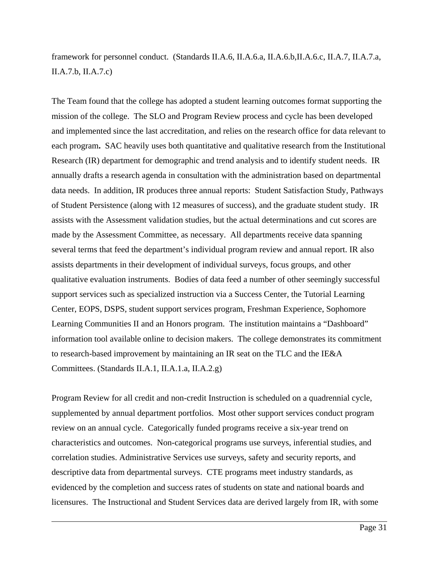## framework for personnel conduct. (Standards II.A.6, II.A.6.a, II.A.6.b,II.A.6.c, II.A.7, II.A.7.a, II.A.7.b, II.A.7.c)

The Team found that the college has adopted a student learning outcomes format supporting the mission of the college. The SLO and Program Review process and cycle has been developed and implemented since the last accreditation, and relies on the research office for data relevant to each program**.** SAC heavily uses both quantitative and qualitative research from the Institutional Research (IR) department for demographic and trend analysis and to identify student needs. IR annually drafts a research agenda in consultation with the administration based on departmental data needs. In addition, IR produces three annual reports: Student Satisfaction Study, Pathways of Student Persistence (along with 12 measures of success), and the graduate student study. IR assists with the Assessment validation studies, but the actual determinations and cut scores are made by the Assessment Committee, as necessary. All departments receive data spanning several terms that feed the department's individual program review and annual report. IR also assists departments in their development of individual surveys, focus groups, and other qualitative evaluation instruments. Bodies of data feed a number of other seemingly successful support services such as specialized instruction via a Success Center, the Tutorial Learning Center, EOPS, DSPS, student support services program, Freshman Experience, Sophomore Learning Communities II and an Honors program. The institution maintains a "Dashboard" information tool available online to decision makers. The college demonstrates its commitment to research-based improvement by maintaining an IR seat on the TLC and the IE&A Committees. (Standards II.A.1, II.A.1.a, II.A.2.g)

Program Review for all credit and non-credit Instruction is scheduled on a quadrennial cycle, supplemented by annual department portfolios. Most other support services conduct program review on an annual cycle. Categorically funded programs receive a six-year trend on characteristics and outcomes. Non-categorical programs use surveys, inferential studies, and correlation studies. Administrative Services use surveys, safety and security reports, and descriptive data from departmental surveys. CTE programs meet industry standards, as evidenced by the completion and success rates of students on state and national boards and licensures. The Instructional and Student Services data are derived largely from IR, with some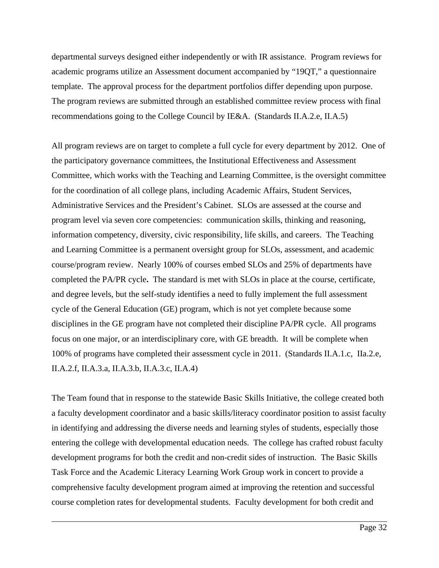departmental surveys designed either independently or with IR assistance. Program reviews for academic programs utilize an Assessment document accompanied by "19QT," a questionnaire template. The approval process for the department portfolios differ depending upon purpose. The program reviews are submitted through an established committee review process with final recommendations going to the College Council by IE&A. (Standards II.A.2.e, II.A.5)

All program reviews are on target to complete a full cycle for every department by 2012. One of the participatory governance committees, the Institutional Effectiveness and Assessment Committee, which works with the Teaching and Learning Committee, is the oversight committee for the coordination of all college plans, including Academic Affairs, Student Services, Administrative Services and the President's Cabinet. SLOs are assessed at the course and program level via seven core competencies: communication skills, thinking and reasoning, information competency, diversity, civic responsibility, life skills, and careers. The Teaching and Learning Committee is a permanent oversight group for SLOs, assessment, and academic course/program review. Nearly 100% of courses embed SLOs and 25% of departments have completed the PA/PR cycle**.** The standard is met with SLOs in place at the course, certificate, and degree levels, but the self-study identifies a need to fully implement the full assessment cycle of the General Education (GE) program, which is not yet complete because some disciplines in the GE program have not completed their discipline PA/PR cycle. All programs focus on one major, or an interdisciplinary core, with GE breadth. It will be complete when 100% of programs have completed their assessment cycle in 2011. (Standards II.A.1.c, IIa.2.e, II.A.2.f, II.A.3.a, II.A.3.b, II.A.3.c, II.A.4)

The Team found that in response to the statewide Basic Skills Initiative, the college created both a faculty development coordinator and a basic skills/literacy coordinator position to assist faculty in identifying and addressing the diverse needs and learning styles of students, especially those entering the college with developmental education needs. The college has crafted robust faculty development programs for both the credit and non-credit sides of instruction. The Basic Skills Task Force and the Academic Literacy Learning Work Group work in concert to provide a comprehensive faculty development program aimed at improving the retention and successful course completion rates for developmental students. Faculty development for both credit and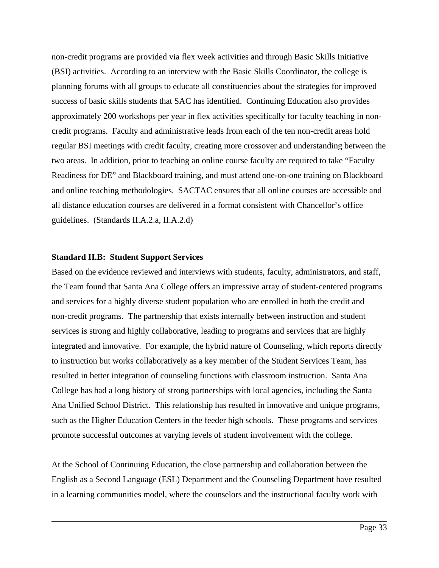non-credit programs are provided via flex week activities and through Basic Skills Initiative (BSI) activities. According to an interview with the Basic Skills Coordinator, the college is planning forums with all groups to educate all constituencies about the strategies for improved success of basic skills students that SAC has identified. Continuing Education also provides approximately 200 workshops per year in flex activities specifically for faculty teaching in noncredit programs. Faculty and administrative leads from each of the ten non-credit areas hold regular BSI meetings with credit faculty, creating more crossover and understanding between the two areas. In addition, prior to teaching an online course faculty are required to take "Faculty Readiness for DE" and Blackboard training, and must attend one-on-one training on Blackboard and online teaching methodologies. SACTAC ensures that all online courses are accessible and all distance education courses are delivered in a format consistent with Chancellor's office guidelines. (Standards II.A.2.a, II.A.2.d)

#### **Standard II.B: Student Support Services**

 $\overline{a}$ 

Based on the evidence reviewed and interviews with students, faculty, administrators, and staff, the Team found that Santa Ana College offers an impressive array of student-centered programs and services for a highly diverse student population who are enrolled in both the credit and non-credit programs. The partnership that exists internally between instruction and student services is strong and highly collaborative, leading to programs and services that are highly integrated and innovative. For example, the hybrid nature of Counseling, which reports directly to instruction but works collaboratively as a key member of the Student Services Team, has resulted in better integration of counseling functions with classroom instruction. Santa Ana College has had a long history of strong partnerships with local agencies, including the Santa Ana Unified School District. This relationship has resulted in innovative and unique programs, such as the Higher Education Centers in the feeder high schools. These programs and services promote successful outcomes at varying levels of student involvement with the college.

At the School of Continuing Education, the close partnership and collaboration between the English as a Second Language (ESL) Department and the Counseling Department have resulted in a learning communities model, where the counselors and the instructional faculty work with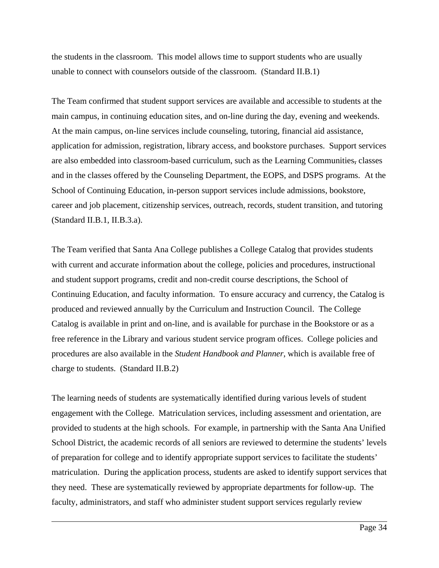the students in the classroom. This model allows time to support students who are usually unable to connect with counselors outside of the classroom. (Standard II.B.1)

The Team confirmed that student support services are available and accessible to students at the main campus, in continuing education sites, and on-line during the day, evening and weekends. At the main campus, on-line services include counseling, tutoring, financial aid assistance, application for admission, registration, library access, and bookstore purchases. Support services are also embedded into classroom-based curriculum, such as the Learning Communities, classes and in the classes offered by the Counseling Department, the EOPS, and DSPS programs. At the School of Continuing Education, in-person support services include admissions, bookstore, career and job placement, citizenship services, outreach, records, student transition, and tutoring (Standard II.B.1, II.B.3.a).

The Team verified that Santa Ana College publishes a College Catalog that provides students with current and accurate information about the college, policies and procedures, instructional and student support programs, credit and non-credit course descriptions, the School of Continuing Education, and faculty information. To ensure accuracy and currency, the Catalog is produced and reviewed annually by the Curriculum and Instruction Council. The College Catalog is available in print and on-line, and is available for purchase in the Bookstore or as a free reference in the Library and various student service program offices. College policies and procedures are also available in the *Student Handbook and Planner*, which is available free of charge to students. (Standard II.B.2)

The learning needs of students are systematically identified during various levels of student engagement with the College. Matriculation services, including assessment and orientation, are provided to students at the high schools. For example, in partnership with the Santa Ana Unified School District, the academic records of all seniors are reviewed to determine the students' levels of preparation for college and to identify appropriate support services to facilitate the students' matriculation. During the application process, students are asked to identify support services that they need. These are systematically reviewed by appropriate departments for follow-up. The faculty, administrators, and staff who administer student support services regularly review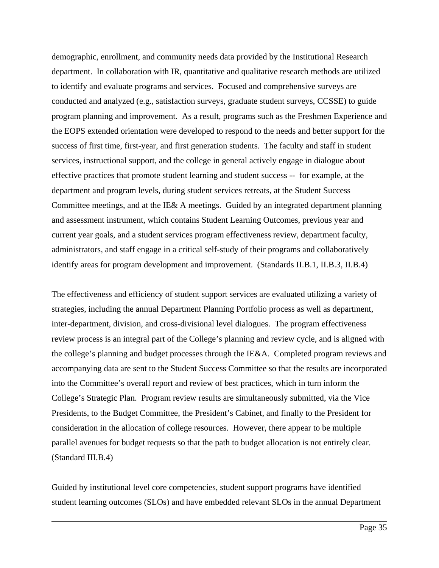demographic, enrollment, and community needs data provided by the Institutional Research department. In collaboration with IR, quantitative and qualitative research methods are utilized to identify and evaluate programs and services. Focused and comprehensive surveys are conducted and analyzed (e.g., satisfaction surveys, graduate student surveys, CCSSE) to guide program planning and improvement. As a result, programs such as the Freshmen Experience and the EOPS extended orientation were developed to respond to the needs and better support for the success of first time, first-year, and first generation students. The faculty and staff in student services, instructional support, and the college in general actively engage in dialogue about effective practices that promote student learning and student success -- for example, at the department and program levels, during student services retreats, at the Student Success Committee meetings, and at the IE& A meetings. Guided by an integrated department planning and assessment instrument, which contains Student Learning Outcomes, previous year and current year goals, and a student services program effectiveness review, department faculty, administrators, and staff engage in a critical self-study of their programs and collaboratively identify areas for program development and improvement. (Standards II.B.1, II.B.3, II.B.4)

The effectiveness and efficiency of student support services are evaluated utilizing a variety of strategies, including the annual Department Planning Portfolio process as well as department, inter-department, division, and cross-divisional level dialogues. The program effectiveness review process is an integral part of the College's planning and review cycle, and is aligned with the college's planning and budget processes through the IE&A. Completed program reviews and accompanying data are sent to the Student Success Committee so that the results are incorporated into the Committee's overall report and review of best practices, which in turn inform the College's Strategic Plan. Program review results are simultaneously submitted, via the Vice Presidents, to the Budget Committee, the President's Cabinet, and finally to the President for consideration in the allocation of college resources. However, there appear to be multiple parallel avenues for budget requests so that the path to budget allocation is not entirely clear. (Standard III.B.4)

Guided by institutional level core competencies, student support programs have identified student learning outcomes (SLOs) and have embedded relevant SLOs in the annual Department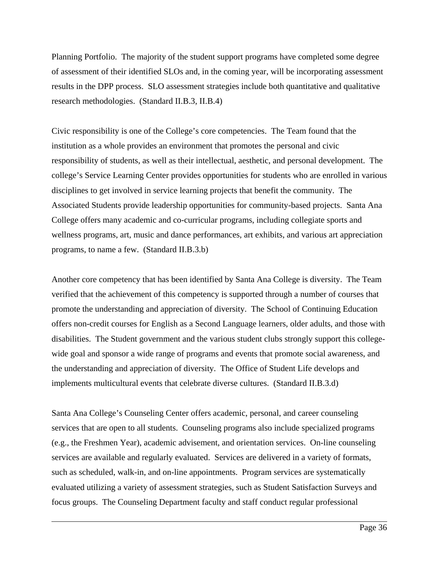Planning Portfolio. The majority of the student support programs have completed some degree of assessment of their identified SLOs and, in the coming year, will be incorporating assessment results in the DPP process. SLO assessment strategies include both quantitative and qualitative research methodologies. (Standard II.B.3, II.B.4)

Civic responsibility is one of the College's core competencies. The Team found that the institution as a whole provides an environment that promotes the personal and civic responsibility of students, as well as their intellectual, aesthetic, and personal development. The college's Service Learning Center provides opportunities for students who are enrolled in various disciplines to get involved in service learning projects that benefit the community. The Associated Students provide leadership opportunities for community-based projects. Santa Ana College offers many academic and co-curricular programs, including collegiate sports and wellness programs, art, music and dance performances, art exhibits, and various art appreciation programs, to name a few. (Standard II.B.3.b)

Another core competency that has been identified by Santa Ana College is diversity. The Team verified that the achievement of this competency is supported through a number of courses that promote the understanding and appreciation of diversity. The School of Continuing Education offers non-credit courses for English as a Second Language learners, older adults, and those with disabilities. The Student government and the various student clubs strongly support this collegewide goal and sponsor a wide range of programs and events that promote social awareness, and the understanding and appreciation of diversity. The Office of Student Life develops and implements multicultural events that celebrate diverse cultures. (Standard II.B.3.d)

Santa Ana College's Counseling Center offers academic, personal, and career counseling services that are open to all students. Counseling programs also include specialized programs (e.g., the Freshmen Year), academic advisement, and orientation services. On-line counseling services are available and regularly evaluated. Services are delivered in a variety of formats, such as scheduled, walk-in, and on-line appointments. Program services are systematically evaluated utilizing a variety of assessment strategies, such as Student Satisfaction Surveys and focus groups. The Counseling Department faculty and staff conduct regular professional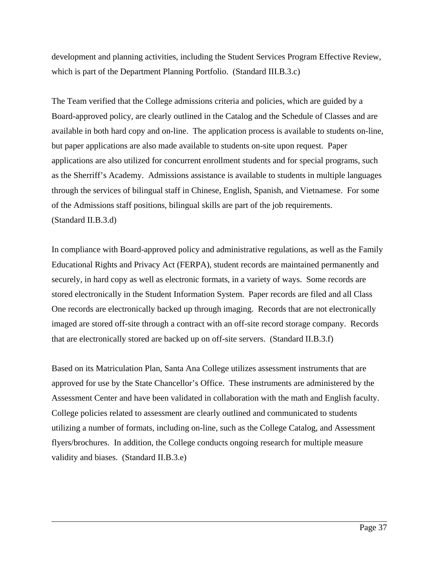development and planning activities, including the Student Services Program Effective Review, which is part of the Department Planning Portfolio. (Standard III.B.3.c)

The Team verified that the College admissions criteria and policies, which are guided by a Board-approved policy, are clearly outlined in the Catalog and the Schedule of Classes and are available in both hard copy and on-line. The application process is available to students on-line, but paper applications are also made available to students on-site upon request. Paper applications are also utilized for concurrent enrollment students and for special programs, such as the Sherriff's Academy. Admissions assistance is available to students in multiple languages through the services of bilingual staff in Chinese, English, Spanish, and Vietnamese. For some of the Admissions staff positions, bilingual skills are part of the job requirements. (Standard II.B.3.d)

In compliance with Board-approved policy and administrative regulations, as well as the Family Educational Rights and Privacy Act (FERPA), student records are maintained permanently and securely, in hard copy as well as electronic formats, in a variety of ways. Some records are stored electronically in the Student Information System. Paper records are filed and all Class One records are electronically backed up through imaging. Records that are not electronically imaged are stored off-site through a contract with an off-site record storage company. Records that are electronically stored are backed up on off-site servers. (Standard II.B.3.f)

Based on its Matriculation Plan, Santa Ana College utilizes assessment instruments that are approved for use by the State Chancellor's Office. These instruments are administered by the Assessment Center and have been validated in collaboration with the math and English faculty. College policies related to assessment are clearly outlined and communicated to students utilizing a number of formats, including on-line, such as the College Catalog, and Assessment flyers/brochures. In addition, the College conducts ongoing research for multiple measure validity and biases. (Standard II.B.3.e)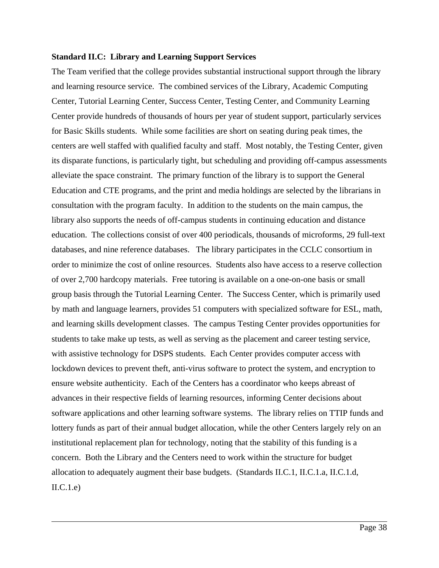#### **Standard II.C: Library and Learning Support Services**

 $\overline{a}$ 

The Team verified that the college provides substantial instructional support through the library and learning resource service. The combined services of the Library, Academic Computing Center, Tutorial Learning Center, Success Center, Testing Center, and Community Learning Center provide hundreds of thousands of hours per year of student support, particularly services for Basic Skills students. While some facilities are short on seating during peak times, the centers are well staffed with qualified faculty and staff. Most notably, the Testing Center, given its disparate functions, is particularly tight, but scheduling and providing off-campus assessments alleviate the space constraint. The primary function of the library is to support the General Education and CTE programs, and the print and media holdings are selected by the librarians in consultation with the program faculty. In addition to the students on the main campus, the library also supports the needs of off-campus students in continuing education and distance education. The collections consist of over 400 periodicals, thousands of microforms, 29 full-text databases, and nine reference databases. The library participates in the CCLC consortium in order to minimize the cost of online resources. Students also have access to a reserve collection of over 2,700 hardcopy materials. Free tutoring is available on a one-on-one basis or small group basis through the Tutorial Learning Center. The Success Center, which is primarily used by math and language learners, provides 51 computers with specialized software for ESL, math, and learning skills development classes. The campus Testing Center provides opportunities for students to take make up tests, as well as serving as the placement and career testing service, with assistive technology for DSPS students. Each Center provides computer access with lockdown devices to prevent theft, anti-virus software to protect the system, and encryption to ensure website authenticity. Each of the Centers has a coordinator who keeps abreast of advances in their respective fields of learning resources, informing Center decisions about software applications and other learning software systems. The library relies on TTIP funds and lottery funds as part of their annual budget allocation, while the other Centers largely rely on an institutional replacement plan for technology, noting that the stability of this funding is a concern. Both the Library and the Centers need to work within the structure for budget allocation to adequately augment their base budgets. (Standards II.C.1, II.C.1.a, II.C.1.d,  $\text{II.C.1.e.}$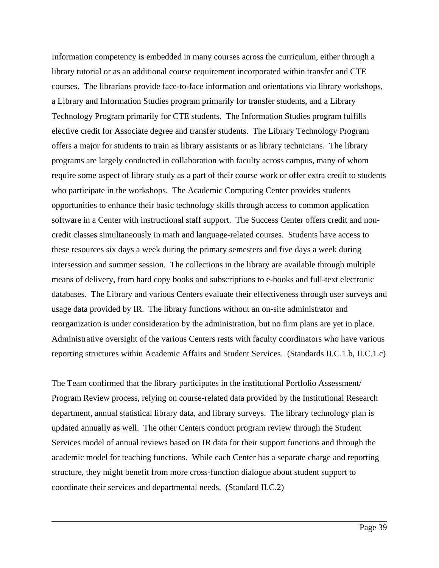Information competency is embedded in many courses across the curriculum, either through a library tutorial or as an additional course requirement incorporated within transfer and CTE courses. The librarians provide face-to-face information and orientations via library workshops, a Library and Information Studies program primarily for transfer students, and a Library Technology Program primarily for CTE students. The Information Studies program fulfills elective credit for Associate degree and transfer students. The Library Technology Program offers a major for students to train as library assistants or as library technicians. The library programs are largely conducted in collaboration with faculty across campus, many of whom require some aspect of library study as a part of their course work or offer extra credit to students who participate in the workshops. The Academic Computing Center provides students opportunities to enhance their basic technology skills through access to common application software in a Center with instructional staff support. The Success Center offers credit and noncredit classes simultaneously in math and language-related courses. Students have access to these resources six days a week during the primary semesters and five days a week during intersession and summer session. The collections in the library are available through multiple means of delivery, from hard copy books and subscriptions to e-books and full-text electronic databases. The Library and various Centers evaluate their effectiveness through user surveys and usage data provided by IR. The library functions without an on-site administrator and reorganization is under consideration by the administration, but no firm plans are yet in place. Administrative oversight of the various Centers rests with faculty coordinators who have various reporting structures within Academic Affairs and Student Services. (Standards II.C.1.b, II.C.1.c)

The Team confirmed that the library participates in the institutional Portfolio Assessment/ Program Review process, relying on course-related data provided by the Institutional Research department, annual statistical library data, and library surveys. The library technology plan is updated annually as well. The other Centers conduct program review through the Student Services model of annual reviews based on IR data for their support functions and through the academic model for teaching functions. While each Center has a separate charge and reporting structure, they might benefit from more cross-function dialogue about student support to coordinate their services and departmental needs. (Standard II.C.2)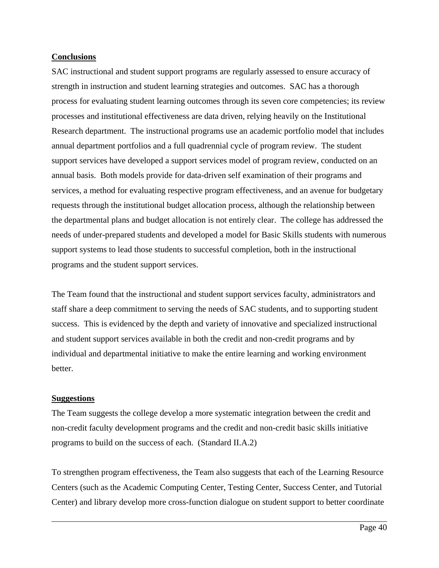## **Conclusions**

SAC instructional and student support programs are regularly assessed to ensure accuracy of strength in instruction and student learning strategies and outcomes. SAC has a thorough process for evaluating student learning outcomes through its seven core competencies; its review processes and institutional effectiveness are data driven, relying heavily on the Institutional Research department. The instructional programs use an academic portfolio model that includes annual department portfolios and a full quadrennial cycle of program review. The student support services have developed a support services model of program review, conducted on an annual basis. Both models provide for data-driven self examination of their programs and services, a method for evaluating respective program effectiveness, and an avenue for budgetary requests through the institutional budget allocation process, although the relationship between the departmental plans and budget allocation is not entirely clear. The college has addressed the needs of under-prepared students and developed a model for Basic Skills students with numerous support systems to lead those students to successful completion, both in the instructional programs and the student support services.

The Team found that the instructional and student support services faculty, administrators and staff share a deep commitment to serving the needs of SAC students, and to supporting student success. This is evidenced by the depth and variety of innovative and specialized instructional and student support services available in both the credit and non-credit programs and by individual and departmental initiative to make the entire learning and working environment better.

## **Suggestions**

 $\overline{a}$ 

The Team suggests the college develop a more systematic integration between the credit and non-credit faculty development programs and the credit and non-credit basic skills initiative programs to build on the success of each. (Standard II.A.2)

To strengthen program effectiveness, the Team also suggests that each of the Learning Resource Centers (such as the Academic Computing Center, Testing Center, Success Center, and Tutorial Center) and library develop more cross-function dialogue on student support to better coordinate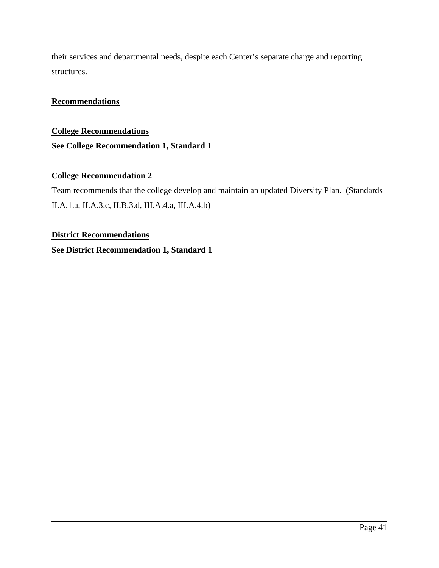their services and departmental needs, despite each Center's separate charge and reporting structures.

## **Recommendations**

## **College Recommendations See College Recommendation 1, Standard 1**

## **College Recommendation 2**

Team recommends that the college develop and maintain an updated Diversity Plan. (Standards II.A.1.a, II.A.3.c, II.B.3.d, III.A.4.a, III.A.4.b)

## **District Recommendations**

 $\overline{a}$ 

**See District Recommendation 1, Standard 1**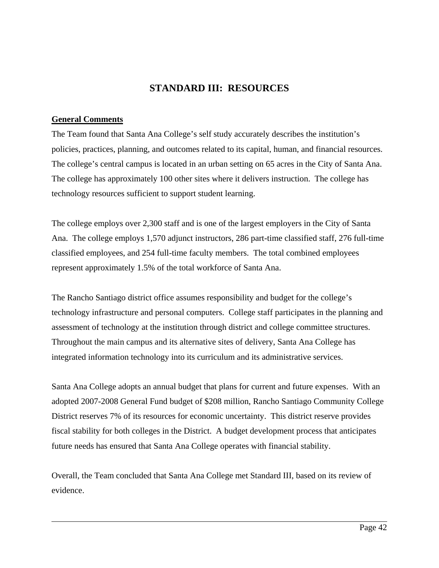## **STANDARD III: RESOURCES**

## **General Comments**

 $\overline{a}$ 

The Team found that Santa Ana College's self study accurately describes the institution's policies, practices, planning, and outcomes related to its capital, human, and financial resources. The college's central campus is located in an urban setting on 65 acres in the City of Santa Ana. The college has approximately 100 other sites where it delivers instruction. The college has technology resources sufficient to support student learning.

The college employs over 2,300 staff and is one of the largest employers in the City of Santa Ana. The college employs 1,570 adjunct instructors, 286 part-time classified staff, 276 full-time classified employees, and 254 full-time faculty members. The total combined employees represent approximately 1.5% of the total workforce of Santa Ana.

The Rancho Santiago district office assumes responsibility and budget for the college's technology infrastructure and personal computers. College staff participates in the planning and assessment of technology at the institution through district and college committee structures. Throughout the main campus and its alternative sites of delivery, Santa Ana College has integrated information technology into its curriculum and its administrative services.

Santa Ana College adopts an annual budget that plans for current and future expenses. With an adopted 2007-2008 General Fund budget of \$208 million, Rancho Santiago Community College District reserves 7% of its resources for economic uncertainty. This district reserve provides fiscal stability for both colleges in the District. A budget development process that anticipates future needs has ensured that Santa Ana College operates with financial stability.

Overall, the Team concluded that Santa Ana College met Standard III, based on its review of evidence.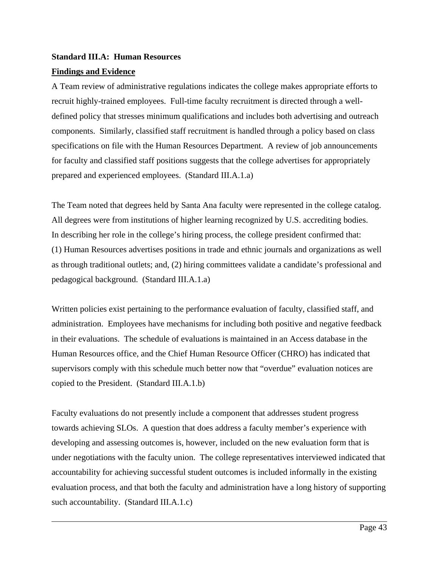# **Standard III.A: Human Resources**

## **Findings and Evidence**

 $\overline{a}$ 

A Team review of administrative regulations indicates the college makes appropriate efforts to recruit highly-trained employees. Full-time faculty recruitment is directed through a welldefined policy that stresses minimum qualifications and includes both advertising and outreach components. Similarly, classified staff recruitment is handled through a policy based on class specifications on file with the Human Resources Department. A review of job announcements for faculty and classified staff positions suggests that the college advertises for appropriately prepared and experienced employees. (Standard III.A.1.a)

The Team noted that degrees held by Santa Ana faculty were represented in the college catalog. All degrees were from institutions of higher learning recognized by U.S. accrediting bodies. In describing her role in the college's hiring process, the college president confirmed that: (1) Human Resources advertises positions in trade and ethnic journals and organizations as well as through traditional outlets; and, (2) hiring committees validate a candidate's professional and pedagogical background. (Standard III.A.1.a)

Written policies exist pertaining to the performance evaluation of faculty, classified staff, and administration. Employees have mechanisms for including both positive and negative feedback in their evaluations. The schedule of evaluations is maintained in an Access database in the Human Resources office, and the Chief Human Resource Officer (CHRO) has indicated that supervisors comply with this schedule much better now that "overdue" evaluation notices are copied to the President. (Standard III.A.1.b)

Faculty evaluations do not presently include a component that addresses student progress towards achieving SLOs. A question that does address a faculty member's experience with developing and assessing outcomes is, however, included on the new evaluation form that is under negotiations with the faculty union. The college representatives interviewed indicated that accountability for achieving successful student outcomes is included informally in the existing evaluation process, and that both the faculty and administration have a long history of supporting such accountability. (Standard III.A.1.c)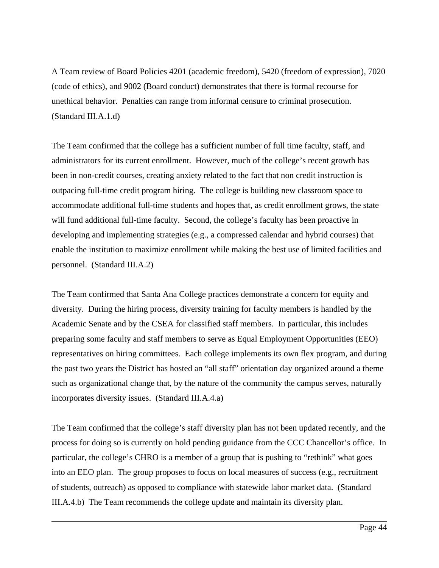A Team review of Board Policies 4201 (academic freedom), 5420 (freedom of expression), 7020 (code of ethics), and 9002 (Board conduct) demonstrates that there is formal recourse for unethical behavior. Penalties can range from informal censure to criminal prosecution. (Standard III.A.1.d)

The Team confirmed that the college has a sufficient number of full time faculty, staff, and administrators for its current enrollment. However, much of the college's recent growth has been in non-credit courses, creating anxiety related to the fact that non credit instruction is outpacing full-time credit program hiring. The college is building new classroom space to accommodate additional full-time students and hopes that, as credit enrollment grows, the state will fund additional full-time faculty. Second, the college's faculty has been proactive in developing and implementing strategies (e.g., a compressed calendar and hybrid courses) that enable the institution to maximize enrollment while making the best use of limited facilities and personnel. (Standard III.A.2)

The Team confirmed that Santa Ana College practices demonstrate a concern for equity and diversity. During the hiring process, diversity training for faculty members is handled by the Academic Senate and by the CSEA for classified staff members. In particular, this includes preparing some faculty and staff members to serve as Equal Employment Opportunities (EEO) representatives on hiring committees. Each college implements its own flex program, and during the past two years the District has hosted an "all staff" orientation day organized around a theme such as organizational change that, by the nature of the community the campus serves, naturally incorporates diversity issues. (Standard III.A.4.a)

The Team confirmed that the college's staff diversity plan has not been updated recently, and the process for doing so is currently on hold pending guidance from the CCC Chancellor's office. In particular, the college's CHRO is a member of a group that is pushing to "rethink" what goes into an EEO plan. The group proposes to focus on local measures of success (e.g., recruitment of students, outreach) as opposed to compliance with statewide labor market data. (Standard III.A.4.b) The Team recommends the college update and maintain its diversity plan.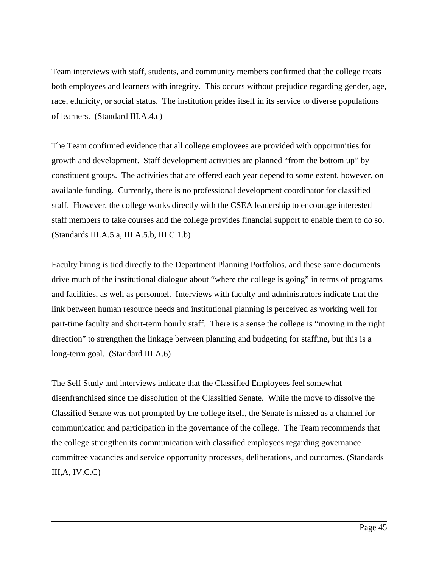Team interviews with staff, students, and community members confirmed that the college treats both employees and learners with integrity. This occurs without prejudice regarding gender, age, race, ethnicity, or social status. The institution prides itself in its service to diverse populations of learners. (Standard III.A.4.c)

The Team confirmed evidence that all college employees are provided with opportunities for growth and development. Staff development activities are planned "from the bottom up" by constituent groups. The activities that are offered each year depend to some extent, however, on available funding. Currently, there is no professional development coordinator for classified staff. However, the college works directly with the CSEA leadership to encourage interested staff members to take courses and the college provides financial support to enable them to do so. (Standards III.A.5.a, III.A.5.b, III.C.1.b)

Faculty hiring is tied directly to the Department Planning Portfolios, and these same documents drive much of the institutional dialogue about "where the college is going" in terms of programs and facilities, as well as personnel. Interviews with faculty and administrators indicate that the link between human resource needs and institutional planning is perceived as working well for part-time faculty and short-term hourly staff. There is a sense the college is "moving in the right direction" to strengthen the linkage between planning and budgeting for staffing, but this is a long-term goal. (Standard III.A.6)

The Self Study and interviews indicate that the Classified Employees feel somewhat disenfranchised since the dissolution of the Classified Senate. While the move to dissolve the Classified Senate was not prompted by the college itself, the Senate is missed as a channel for communication and participation in the governance of the college. The Team recommends that the college strengthen its communication with classified employees regarding governance committee vacancies and service opportunity processes, deliberations, and outcomes. (Standards  $III, A, IV. C. C)$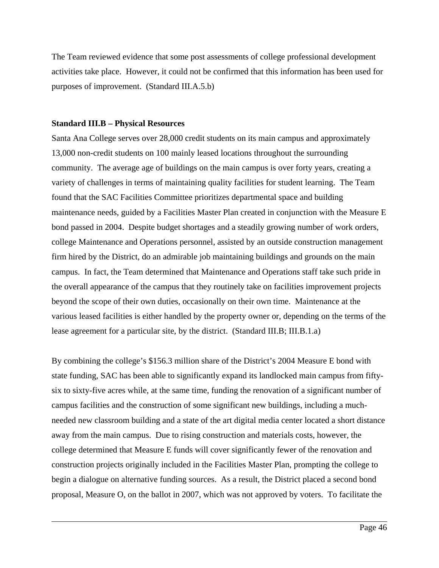The Team reviewed evidence that some post assessments of college professional development activities take place. However, it could not be confirmed that this information has been used for purposes of improvement. (Standard III.A.5.b)

#### **Standard III.B – Physical Resources**

 $\overline{a}$ 

Santa Ana College serves over 28,000 credit students on its main campus and approximately 13,000 non-credit students on 100 mainly leased locations throughout the surrounding community. The average age of buildings on the main campus is over forty years, creating a variety of challenges in terms of maintaining quality facilities for student learning. The Team found that the SAC Facilities Committee prioritizes departmental space and building maintenance needs, guided by a Facilities Master Plan created in conjunction with the Measure E bond passed in 2004. Despite budget shortages and a steadily growing number of work orders, college Maintenance and Operations personnel, assisted by an outside construction management firm hired by the District, do an admirable job maintaining buildings and grounds on the main campus. In fact, the Team determined that Maintenance and Operations staff take such pride in the overall appearance of the campus that they routinely take on facilities improvement projects beyond the scope of their own duties, occasionally on their own time. Maintenance at the various leased facilities is either handled by the property owner or, depending on the terms of the lease agreement for a particular site, by the district. (Standard III.B; III.B.1.a)

By combining the college's \$156.3 million share of the District's 2004 Measure E bond with state funding, SAC has been able to significantly expand its landlocked main campus from fiftysix to sixty-five acres while, at the same time, funding the renovation of a significant number of campus facilities and the construction of some significant new buildings, including a muchneeded new classroom building and a state of the art digital media center located a short distance away from the main campus. Due to rising construction and materials costs, however, the college determined that Measure E funds will cover significantly fewer of the renovation and construction projects originally included in the Facilities Master Plan, prompting the college to begin a dialogue on alternative funding sources. As a result, the District placed a second bond proposal, Measure O, on the ballot in 2007, which was not approved by voters. To facilitate the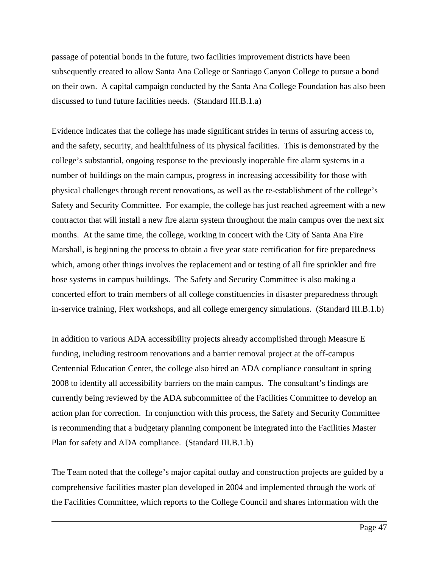passage of potential bonds in the future, two facilities improvement districts have been subsequently created to allow Santa Ana College or Santiago Canyon College to pursue a bond on their own. A capital campaign conducted by the Santa Ana College Foundation has also been discussed to fund future facilities needs. (Standard III.B.1.a)

Evidence indicates that the college has made significant strides in terms of assuring access to, and the safety, security, and healthfulness of its physical facilities. This is demonstrated by the college's substantial, ongoing response to the previously inoperable fire alarm systems in a number of buildings on the main campus, progress in increasing accessibility for those with physical challenges through recent renovations, as well as the re-establishment of the college's Safety and Security Committee. For example, the college has just reached agreement with a new contractor that will install a new fire alarm system throughout the main campus over the next six months. At the same time, the college, working in concert with the City of Santa Ana Fire Marshall, is beginning the process to obtain a five year state certification for fire preparedness which, among other things involves the replacement and or testing of all fire sprinkler and fire hose systems in campus buildings. The Safety and Security Committee is also making a concerted effort to train members of all college constituencies in disaster preparedness through in-service training, Flex workshops, and all college emergency simulations. (Standard III.B.1.b)

In addition to various ADA accessibility projects already accomplished through Measure E funding, including restroom renovations and a barrier removal project at the off-campus Centennial Education Center, the college also hired an ADA compliance consultant in spring 2008 to identify all accessibility barriers on the main campus. The consultant's findings are currently being reviewed by the ADA subcommittee of the Facilities Committee to develop an action plan for correction. In conjunction with this process, the Safety and Security Committee is recommending that a budgetary planning component be integrated into the Facilities Master Plan for safety and ADA compliance. (Standard III.B.1.b)

The Team noted that the college's major capital outlay and construction projects are guided by a comprehensive facilities master plan developed in 2004 and implemented through the work of the Facilities Committee, which reports to the College Council and shares information with the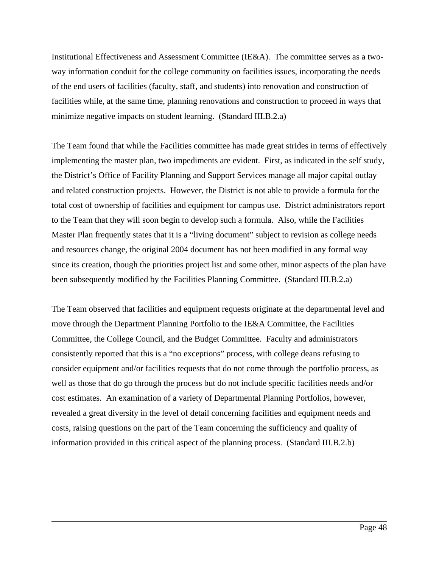Institutional Effectiveness and Assessment Committee (IE&A). The committee serves as a twoway information conduit for the college community on facilities issues, incorporating the needs of the end users of facilities (faculty, staff, and students) into renovation and construction of facilities while, at the same time, planning renovations and construction to proceed in ways that minimize negative impacts on student learning. (Standard III.B.2.a)

The Team found that while the Facilities committee has made great strides in terms of effectively implementing the master plan, two impediments are evident. First, as indicated in the self study, the District's Office of Facility Planning and Support Services manage all major capital outlay and related construction projects. However, the District is not able to provide a formula for the total cost of ownership of facilities and equipment for campus use. District administrators report to the Team that they will soon begin to develop such a formula. Also, while the Facilities Master Plan frequently states that it is a "living document" subject to revision as college needs and resources change, the original 2004 document has not been modified in any formal way since its creation, though the priorities project list and some other, minor aspects of the plan have been subsequently modified by the Facilities Planning Committee. (Standard III.B.2.a)

The Team observed that facilities and equipment requests originate at the departmental level and move through the Department Planning Portfolio to the IE&A Committee, the Facilities Committee, the College Council, and the Budget Committee. Faculty and administrators consistently reported that this is a "no exceptions" process, with college deans refusing to consider equipment and/or facilities requests that do not come through the portfolio process, as well as those that do go through the process but do not include specific facilities needs and/or cost estimates. An examination of a variety of Departmental Planning Portfolios, however, revealed a great diversity in the level of detail concerning facilities and equipment needs and costs, raising questions on the part of the Team concerning the sufficiency and quality of information provided in this critical aspect of the planning process. (Standard III.B.2.b)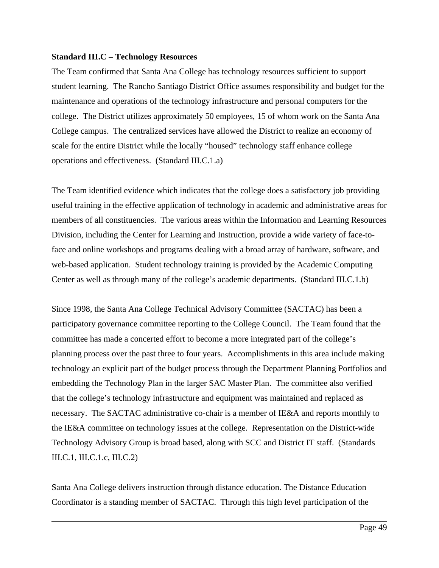#### **Standard III.C – Technology Resources**

The Team confirmed that Santa Ana College has technology resources sufficient to support student learning. The Rancho Santiago District Office assumes responsibility and budget for the maintenance and operations of the technology infrastructure and personal computers for the college. The District utilizes approximately 50 employees, 15 of whom work on the Santa Ana College campus. The centralized services have allowed the District to realize an economy of scale for the entire District while the locally "housed" technology staff enhance college operations and effectiveness. (Standard III.C.1.a)

The Team identified evidence which indicates that the college does a satisfactory job providing useful training in the effective application of technology in academic and administrative areas for members of all constituencies. The various areas within the Information and Learning Resources Division, including the Center for Learning and Instruction, provide a wide variety of face-toface and online workshops and programs dealing with a broad array of hardware, software, and web-based application. Student technology training is provided by the Academic Computing Center as well as through many of the college's academic departments. (Standard III.C.1.b)

Since 1998, the Santa Ana College Technical Advisory Committee (SACTAC) has been a participatory governance committee reporting to the College Council. The Team found that the committee has made a concerted effort to become a more integrated part of the college's planning process over the past three to four years. Accomplishments in this area include making technology an explicit part of the budget process through the Department Planning Portfolios and embedding the Technology Plan in the larger SAC Master Plan. The committee also verified that the college's technology infrastructure and equipment was maintained and replaced as necessary. The SACTAC administrative co-chair is a member of IE&A and reports monthly to the IE&A committee on technology issues at the college. Representation on the District-wide Technology Advisory Group is broad based, along with SCC and District IT staff. (Standards III.C.1, III.C.1.c, III.C.2)

Santa Ana College delivers instruction through distance education. The Distance Education Coordinator is a standing member of SACTAC. Through this high level participation of the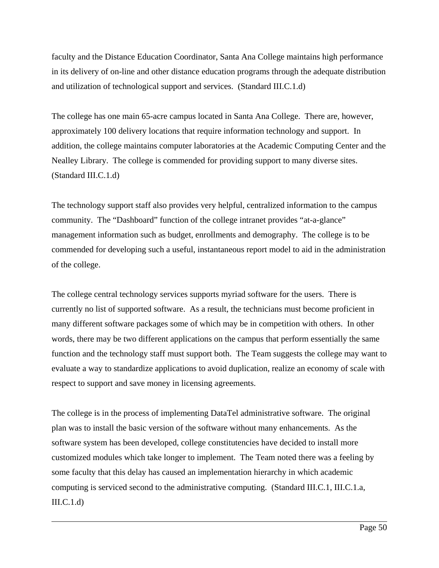faculty and the Distance Education Coordinator, Santa Ana College maintains high performance in its delivery of on-line and other distance education programs through the adequate distribution and utilization of technological support and services. (Standard III.C.1.d)

The college has one main 65-acre campus located in Santa Ana College. There are, however, approximately 100 delivery locations that require information technology and support. In addition, the college maintains computer laboratories at the Academic Computing Center and the Nealley Library. The college is commended for providing support to many diverse sites. (Standard III.C.1.d)

The technology support staff also provides very helpful, centralized information to the campus community. The "Dashboard" function of the college intranet provides "at-a-glance" management information such as budget, enrollments and demography. The college is to be commended for developing such a useful, instantaneous report model to aid in the administration of the college.

The college central technology services supports myriad software for the users. There is currently no list of supported software. As a result, the technicians must become proficient in many different software packages some of which may be in competition with others. In other words, there may be two different applications on the campus that perform essentially the same function and the technology staff must support both. The Team suggests the college may want to evaluate a way to standardize applications to avoid duplication, realize an economy of scale with respect to support and save money in licensing agreements.

The college is in the process of implementing DataTel administrative software. The original plan was to install the basic version of the software without many enhancements. As the software system has been developed, college constitutencies have decided to install more customized modules which take longer to implement. The Team noted there was a feeling by some faculty that this delay has caused an implementation hierarchy in which academic computing is serviced second to the administrative computing. (Standard III.C.1, III.C.1.a,  $III.C.1.d)$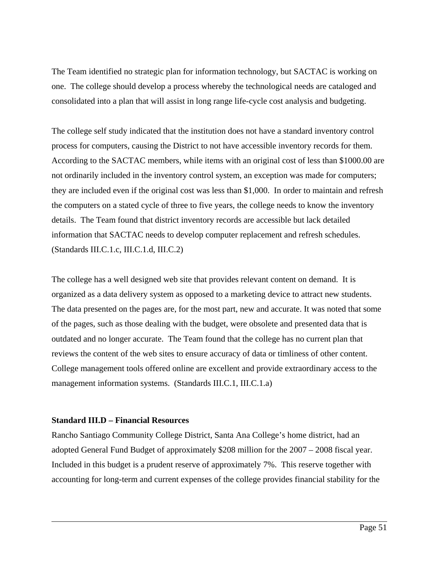The Team identified no strategic plan for information technology, but SACTAC is working on one. The college should develop a process whereby the technological needs are cataloged and consolidated into a plan that will assist in long range life-cycle cost analysis and budgeting.

The college self study indicated that the institution does not have a standard inventory control process for computers, causing the District to not have accessible inventory records for them. According to the SACTAC members, while items with an original cost of less than \$1000.00 are not ordinarily included in the inventory control system, an exception was made for computers; they are included even if the original cost was less than \$1,000. In order to maintain and refresh the computers on a stated cycle of three to five years, the college needs to know the inventory details. The Team found that district inventory records are accessible but lack detailed information that SACTAC needs to develop computer replacement and refresh schedules. (Standards III.C.1.c, III.C.1.d, III.C.2)

The college has a well designed web site that provides relevant content on demand. It is organized as a data delivery system as opposed to a marketing device to attract new students. The data presented on the pages are, for the most part, new and accurate. It was noted that some of the pages, such as those dealing with the budget, were obsolete and presented data that is outdated and no longer accurate. The Team found that the college has no current plan that reviews the content of the web sites to ensure accuracy of data or timliness of other content. College management tools offered online are excellent and provide extraordinary access to the management information systems. (Standards III.C.1, III.C.1.a)

### **Standard III.D – Financial Resources**

 $\overline{a}$ 

Rancho Santiago Community College District, Santa Ana College's home district, had an adopted General Fund Budget of approximately \$208 million for the 2007 – 2008 fiscal year. Included in this budget is a prudent reserve of approximately 7%. This reserve together with accounting for long-term and current expenses of the college provides financial stability for the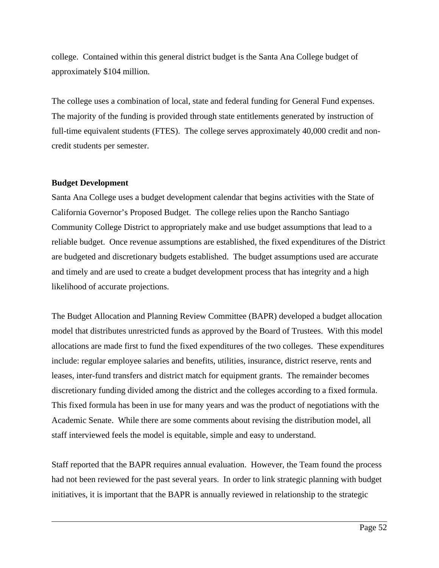college. Contained within this general district budget is the Santa Ana College budget of approximately \$104 million.

The college uses a combination of local, state and federal funding for General Fund expenses. The majority of the funding is provided through state entitlements generated by instruction of full-time equivalent students (FTES). The college serves approximately 40,000 credit and noncredit students per semester.

### **Budget Development**

 $\overline{a}$ 

Santa Ana College uses a budget development calendar that begins activities with the State of California Governor's Proposed Budget. The college relies upon the Rancho Santiago Community College District to appropriately make and use budget assumptions that lead to a reliable budget. Once revenue assumptions are established, the fixed expenditures of the District are budgeted and discretionary budgets established. The budget assumptions used are accurate and timely and are used to create a budget development process that has integrity and a high likelihood of accurate projections.

The Budget Allocation and Planning Review Committee (BAPR) developed a budget allocation model that distributes unrestricted funds as approved by the Board of Trustees. With this model allocations are made first to fund the fixed expenditures of the two colleges. These expenditures include: regular employee salaries and benefits, utilities, insurance, district reserve, rents and leases, inter-fund transfers and district match for equipment grants. The remainder becomes discretionary funding divided among the district and the colleges according to a fixed formula. This fixed formula has been in use for many years and was the product of negotiations with the Academic Senate. While there are some comments about revising the distribution model, all staff interviewed feels the model is equitable, simple and easy to understand.

Staff reported that the BAPR requires annual evaluation. However, the Team found the process had not been reviewed for the past several years. In order to link strategic planning with budget initiatives, it is important that the BAPR is annually reviewed in relationship to the strategic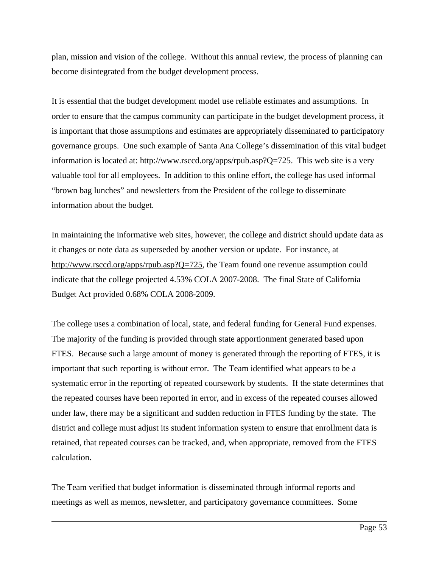plan, mission and vision of the college. Without this annual review, the process of planning can become disintegrated from the budget development process.

It is essential that the budget development model use reliable estimates and assumptions. In order to ensure that the campus community can participate in the budget development process, it is important that those assumptions and estimates are appropriately disseminated to participatory governance groups. One such example of Santa Ana College's dissemination of this vital budget information is located at: [http://www.rsccd.org/apps/rpub.asp?Q=725.](http://www.rsccd.org/apps/rpub.asp?Q=725) This web site is a very valuable tool for all employees. In addition to this online effort, the college has used informal "brown bag lunches" and newsletters from the President of the college to disseminate information about the budget.

In maintaining the informative web sites, however, the college and district should update data as it changes or note data as superseded by another version or update. For instance, at <http://www.rsccd.org/apps/rpub.asp?Q=725>, the Team found one revenue assumption could indicate that the college projected 4.53% COLA 2007-2008. The final State of California Budget Act provided 0.68% COLA 2008-2009.

The college uses a combination of local, state, and federal funding for General Fund expenses. The majority of the funding is provided through state apportionment generated based upon FTES. Because such a large amount of money is generated through the reporting of FTES, it is important that such reporting is without error. The Team identified what appears to be a systematic error in the reporting of repeated coursework by students. If the state determines that the repeated courses have been reported in error, and in excess of the repeated courses allowed under law, there may be a significant and sudden reduction in FTES funding by the state. The district and college must adjust its student information system to ensure that enrollment data is retained, that repeated courses can be tracked, and, when appropriate, removed from the FTES calculation.

The Team verified that budget information is disseminated through informal reports and meetings as well as memos, newsletter, and participatory governance committees. Some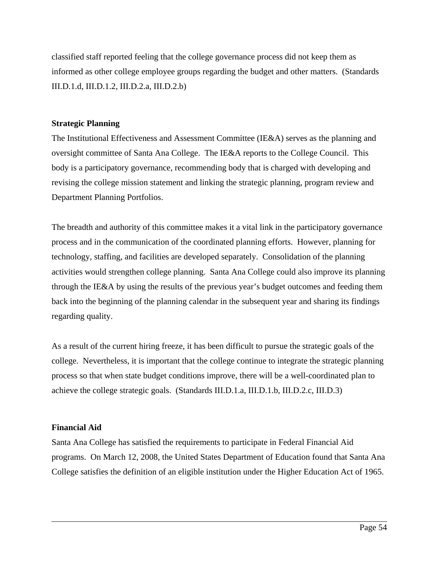classified staff reported feeling that the college governance process did not keep them as informed as other college employee groups regarding the budget and other matters. (Standards III.D.1.d, III.D.1.2, III.D.2.a, III.D.2.b)

## **Strategic Planning**

The Institutional Effectiveness and Assessment Committee (IE&A) serves as the planning and oversight committee of Santa Ana College. The IE&A reports to the College Council. This body is a participatory governance, recommending body that is charged with developing and revising the college mission statement and linking the strategic planning, program review and Department Planning Portfolios.

The breadth and authority of this committee makes it a vital link in the participatory governance process and in the communication of the coordinated planning efforts. However, planning for technology, staffing, and facilities are developed separately. Consolidation of the planning activities would strengthen college planning. Santa Ana College could also improve its planning through the IE&A by using the results of the previous year's budget outcomes and feeding them back into the beginning of the planning calendar in the subsequent year and sharing its findings regarding quality.

As a result of the current hiring freeze, it has been difficult to pursue the strategic goals of the college. Nevertheless, it is important that the college continue to integrate the strategic planning process so that when state budget conditions improve, there will be a well-coordinated plan to achieve the college strategic goals. (Standards III.D.1.a, III.D.1.b, III.D.2.c, III.D.3)

## **Financial Aid**

 $\overline{a}$ 

Santa Ana College has satisfied the requirements to participate in Federal Financial Aid programs. On March 12, 2008, the United States Department of Education found that Santa Ana College satisfies the definition of an eligible institution under the Higher Education Act of 1965.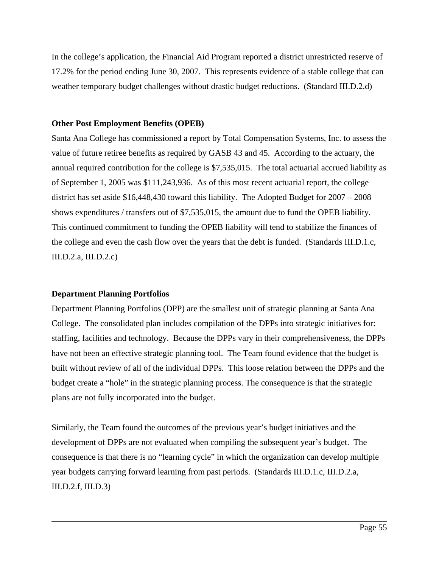In the college's application, the Financial Aid Program reported a district unrestricted reserve of 17.2% for the period ending June 30, 2007. This represents evidence of a stable college that can weather temporary budget challenges without drastic budget reductions. (Standard III.D.2.d)

## **Other Post Employment Benefits (OPEB)**

Santa Ana College has commissioned a report by Total Compensation Systems, Inc. to assess the value of future retiree benefits as required by GASB 43 and 45. According to the actuary, the annual required contribution for the college is \$7,535,015. The total actuarial accrued liability as of September 1, 2005 was \$111,243,936. As of this most recent actuarial report, the college district has set aside \$16,448,430 toward this liability. The Adopted Budget for 2007 – 2008 shows expenditures / transfers out of \$7,535,015, the amount due to fund the OPEB liability. This continued commitment to funding the OPEB liability will tend to stabilize the finances of the college and even the cash flow over the years that the debt is funded. (Standards III.D.1.c, III.D.2.a, III.D.2.c)

## **Department Planning Portfolios**

 $\overline{a}$ 

Department Planning Portfolios (DPP) are the smallest unit of strategic planning at Santa Ana College. The consolidated plan includes compilation of the DPPs into strategic initiatives for: staffing, facilities and technology. Because the DPPs vary in their comprehensiveness, the DPPs have not been an effective strategic planning tool. The Team found evidence that the budget is built without review of all of the individual DPPs. This loose relation between the DPPs and the budget create a "hole" in the strategic planning process. The consequence is that the strategic plans are not fully incorporated into the budget.

Similarly, the Team found the outcomes of the previous year's budget initiatives and the development of DPPs are not evaluated when compiling the subsequent year's budget. The consequence is that there is no "learning cycle" in which the organization can develop multiple year budgets carrying forward learning from past periods. (Standards III.D.1.c, III.D.2.a, III.D.2.f, III.D.3)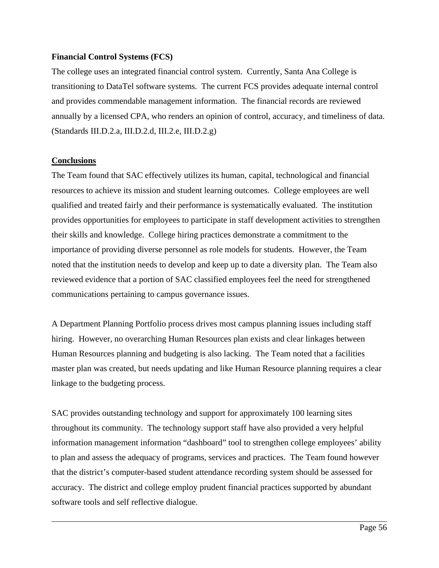## **Financial Control Systems (FCS)**

The college uses an integrated financial control system. Currently, Santa Ana College is transitioning to DataTel software systems. The current FCS provides adequate internal control and provides commendable management information. The financial records are reviewed annually by a licensed CPA, who renders an opinion of control, accuracy, and timeliness of data. (Standards III.D.2.a, III.D.2.d, III.2.e, III.D.2.g)

## **Conclusions**

 $\overline{a}$ 

The Team found that SAC effectively utilizes its human, capital, technological and financial resources to achieve its mission and student learning outcomes. College employees are well qualified and treated fairly and their performance is systematically evaluated. The institution provides opportunities for employees to participate in staff development activities to strengthen their skills and knowledge. College hiring practices demonstrate a commitment to the importance of providing diverse personnel as role models for students. However, the Team noted that the institution needs to develop and keep up to date a diversity plan. The Team also reviewed evidence that a portion of SAC classified employees feel the need for strengthened communications pertaining to campus governance issues.

A Department Planning Portfolio process drives most campus planning issues including staff hiring. However, no overarching Human Resources plan exists and clear linkages between Human Resources planning and budgeting is also lacking. The Team noted that a facilities master plan was created, but needs updating and like Human Resource planning requires a clear linkage to the budgeting process.

SAC provides outstanding technology and support for approximately 100 learning sites throughout its community. The technology support staff have also provided a very helpful information management information "dashboard" tool to strengthen college employees' ability to plan and assess the adequacy of programs, services and practices. The Team found however that the district's computer-based student attendance recording system should be assessed for accuracy. The district and college employ prudent financial practices supported by abundant software tools and self reflective dialogue.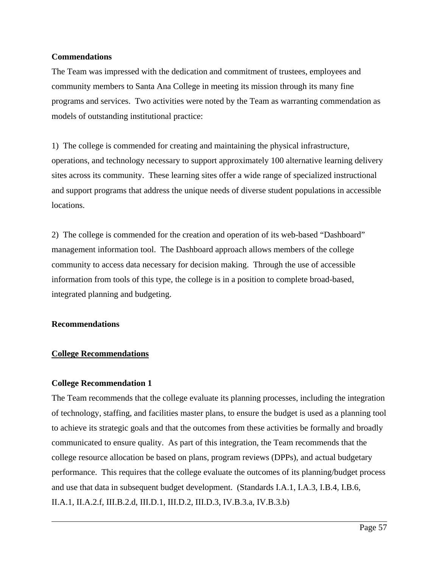## **Commendations**

The Team was impressed with the dedication and commitment of trustees, employees and community members to Santa Ana College in meeting its mission through its many fine programs and services. Two activities were noted by the Team as warranting commendation as models of outstanding institutional practice:

1) The college is commended for creating and maintaining the physical infrastructure, operations, and technology necessary to support approximately 100 alternative learning delivery sites across its community. These learning sites offer a wide range of specialized instructional and support programs that address the unique needs of diverse student populations in accessible locations.

2) The college is commended for the creation and operation of its web-based "Dashboard" management information tool. The Dashboard approach allows members of the college community to access data necessary for decision making. Through the use of accessible information from tools of this type, the college is in a position to complete broad-based, integrated planning and budgeting.

## **Recommendations**

 $\overline{a}$ 

## **College Recommendations**

### **College Recommendation 1**

The Team recommends that the college evaluate its planning processes, including the integration of technology, staffing, and facilities master plans, to ensure the budget is used as a planning tool to achieve its strategic goals and that the outcomes from these activities be formally and broadly communicated to ensure quality. As part of this integration, the Team recommends that the college resource allocation be based on plans, program reviews (DPPs), and actual budgetary performance. This requires that the college evaluate the outcomes of its planning/budget process and use that data in subsequent budget development. (Standards I.A.1, I.A.3, I.B.4, I.B.6, II.A.1, II.A.2.f, III.B.2.d, III.D.1, III.D.2, III.D.3, IV.B.3.a, IV.B.3.b)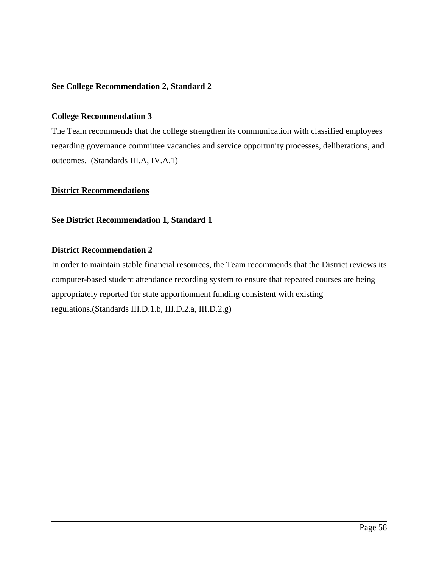## **See College Recommendation 2, Standard 2**

### **College Recommendation 3**

The Team recommends that the college strengthen its communication with classified employees regarding governance committee vacancies and service opportunity processes, deliberations, and outcomes. (Standards III.A, IV.A.1)

### **District Recommendations**

#### **See District Recommendation 1, Standard 1**

### **District Recommendation 2**

 $\overline{a}$ 

In order to maintain stable financial resources, the Team recommends that the District reviews its computer-based student attendance recording system to ensure that repeated courses are being appropriately reported for state apportionment funding consistent with existing regulations.(Standards III.D.1.b, III.D.2.a, III.D.2.g)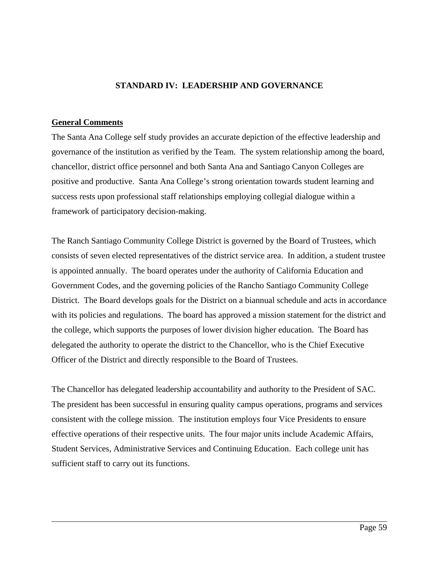## **STANDARD IV: LEADERSHIP AND GOVERNANCE**

#### **General Comments**

 $\overline{a}$ 

The Santa Ana College self study provides an accurate depiction of the effective leadership and governance of the institution as verified by the Team. The system relationship among the board, chancellor, district office personnel and both Santa Ana and Santiago Canyon Colleges are positive and productive. Santa Ana College's strong orientation towards student learning and success rests upon professional staff relationships employing collegial dialogue within a framework of participatory decision-making.

The Ranch Santiago Community College District is governed by the Board of Trustees, which consists of seven elected representatives of the district service area. In addition, a student trustee is appointed annually. The board operates under the authority of California Education and Government Codes, and the governing policies of the Rancho Santiago Community College District. The Board develops goals for the District on a biannual schedule and acts in accordance with its policies and regulations. The board has approved a mission statement for the district and the college, which supports the purposes of lower division higher education. The Board has delegated the authority to operate the district to the Chancellor, who is the Chief Executive Officer of the District and directly responsible to the Board of Trustees.

The Chancellor has delegated leadership accountability and authority to the President of SAC. The president has been successful in ensuring quality campus operations, programs and services consistent with the college mission. The institution employs four Vice Presidents to ensure effective operations of their respective units. The four major units include Academic Affairs, Student Services, Administrative Services and Continuing Education. Each college unit has sufficient staff to carry out its functions.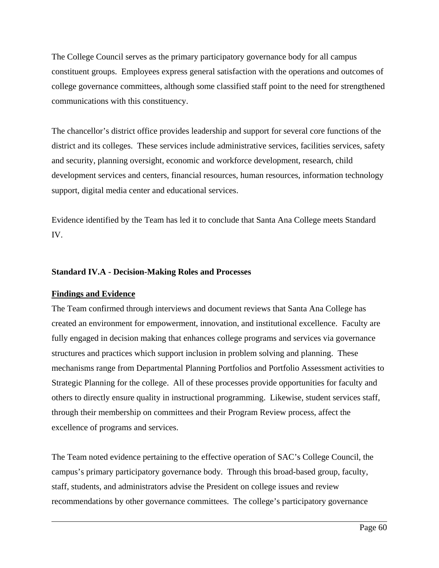The College Council serves as the primary participatory governance body for all campus constituent groups. Employees express general satisfaction with the operations and outcomes of college governance committees, although some classified staff point to the need for strengthened communications with this constituency.

The chancellor's district office provides leadership and support for several core functions of the district and its colleges. These services include administrative services, facilities services, safety and security, planning oversight, economic and workforce development, research, child development services and centers, financial resources, human resources, information technology support, digital media center and educational services.

Evidence identified by the Team has led it to conclude that Santa Ana College meets Standard IV.

## **Standard IV.A - Decision-Making Roles and Processes**

### **Findings and Evidence**

 $\overline{a}$ 

The Team confirmed through interviews and document reviews that Santa Ana College has created an environment for empowerment, innovation, and institutional excellence. Faculty are fully engaged in decision making that enhances college programs and services via governance structures and practices which support inclusion in problem solving and planning. These mechanisms range from Departmental Planning Portfolios and Portfolio Assessment activities to Strategic Planning for the college. All of these processes provide opportunities for faculty and others to directly ensure quality in instructional programming. Likewise, student services staff, through their membership on committees and their Program Review process, affect the excellence of programs and services.

The Team noted evidence pertaining to the effective operation of SAC's College Council, the campus's primary participatory governance body. Through this broad-based group, faculty, staff, students, and administrators advise the President on college issues and review recommendations by other governance committees. The college's participatory governance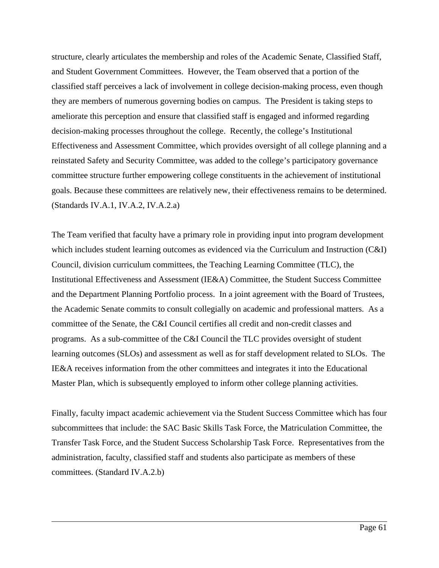structure, clearly articulates the membership and roles of the Academic Senate, Classified Staff, and Student Government Committees. However, the Team observed that a portion of the classified staff perceives a lack of involvement in college decision-making process, even though they are members of numerous governing bodies on campus. The President is taking steps to ameliorate this perception and ensure that classified staff is engaged and informed regarding decision-making processes throughout the college. Recently, the college's Institutional Effectiveness and Assessment Committee, which provides oversight of all college planning and a reinstated Safety and Security Committee, was added to the college's participatory governance committee structure further empowering college constituents in the achievement of institutional goals. Because these committees are relatively new, their effectiveness remains to be determined. (Standards IV.A.1, IV.A.2, IV.A.2.a)

The Team verified that faculty have a primary role in providing input into program development which includes student learning outcomes as evidenced via the Curriculum and Instruction (C&I) Council, division curriculum committees, the Teaching Learning Committee (TLC), the Institutional Effectiveness and Assessment (IE&A) Committee, the Student Success Committee and the Department Planning Portfolio process. In a joint agreement with the Board of Trustees, the Academic Senate commits to consult collegially on academic and professional matters. As a committee of the Senate, the C&I Council certifies all credit and non-credit classes and programs. As a sub-committee of the C&I Council the TLC provides oversight of student learning outcomes (SLOs) and assessment as well as for staff development related to SLOs. The IE&A receives information from the other committees and integrates it into the Educational Master Plan, which is subsequently employed to inform other college planning activities.

Finally, faculty impact academic achievement via the Student Success Committee which has four subcommittees that include: the SAC Basic Skills Task Force, the Matriculation Committee, the Transfer Task Force, and the Student Success Scholarship Task Force. Representatives from the administration, faculty, classified staff and students also participate as members of these committees. (Standard IV.A.2.b)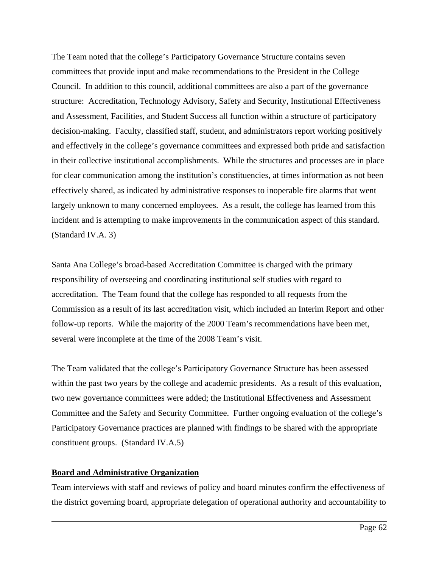The Team noted that the college's Participatory Governance Structure contains seven committees that provide input and make recommendations to the President in the College Council. In addition to this council, additional committees are also a part of the governance structure: Accreditation, Technology Advisory, Safety and Security, Institutional Effectiveness and Assessment, Facilities, and Student Success all function within a structure of participatory decision-making. Faculty, classified staff, student, and administrators report working positively and effectively in the college's governance committees and expressed both pride and satisfaction in their collective institutional accomplishments. While the structures and processes are in place for clear communication among the institution's constituencies, at times information as not been effectively shared, as indicated by administrative responses to inoperable fire alarms that went largely unknown to many concerned employees. As a result, the college has learned from this incident and is attempting to make improvements in the communication aspect of this standard. (Standard IV.A. 3)

Santa Ana College's broad-based Accreditation Committee is charged with the primary responsibility of overseeing and coordinating institutional self studies with regard to accreditation. The Team found that the college has responded to all requests from the Commission as a result of its last accreditation visit, which included an Interim Report and other follow-up reports. While the majority of the 2000 Team's recommendations have been met, several were incomplete at the time of the 2008 Team's visit.

The Team validated that the college's Participatory Governance Structure has been assessed within the past two years by the college and academic presidents. As a result of this evaluation, two new governance committees were added; the Institutional Effectiveness and Assessment Committee and the Safety and Security Committee. Further ongoing evaluation of the college's Participatory Governance practices are planned with findings to be shared with the appropriate constituent groups. (Standard IV.A.5)

## **Board and Administrative Organization**

 $\overline{a}$ 

Team interviews with staff and reviews of policy and board minutes confirm the effectiveness of the district governing board, appropriate delegation of operational authority and accountability to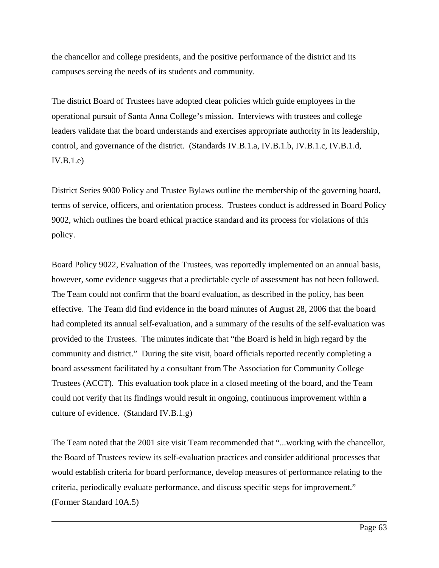the chancellor and college presidents, and the positive performance of the district and its campuses serving the needs of its students and community.

The district Board of Trustees have adopted clear policies which guide employees in the operational pursuit of Santa Anna College's mission. Interviews with trustees and college leaders validate that the board understands and exercises appropriate authority in its leadership, control, and governance of the district. (Standards IV.B.1.a, IV.B.1.b, IV.B.1.c, IV.B.1.d, IV.B.1.e)

District Series 9000 Policy and Trustee Bylaws outline the membership of the governing board, terms of service, officers, and orientation process. Trustees conduct is addressed in Board Policy 9002, which outlines the board ethical practice standard and its process for violations of this policy.

Board Policy 9022, Evaluation of the Trustees, was reportedly implemented on an annual basis, however, some evidence suggests that a predictable cycle of assessment has not been followed. The Team could not confirm that the board evaluation, as described in the policy, has been effective. The Team did find evidence in the board minutes of August 28, 2006 that the board had completed its annual self-evaluation, and a summary of the results of the self-evaluation was provided to the Trustees. The minutes indicate that "the Board is held in high regard by the community and district." During the site visit, board officials reported recently completing a board assessment facilitated by a consultant from The Association for Community College Trustees (ACCT). This evaluation took place in a closed meeting of the board, and the Team could not verify that its findings would result in ongoing, continuous improvement within a culture of evidence. (Standard IV.B.1.g)

The Team noted that the 2001 site visit Team recommended that "...working with the chancellor, the Board of Trustees review its self-evaluation practices and consider additional processes that would establish criteria for board performance, develop measures of performance relating to the criteria, periodically evaluate performance, and discuss specific steps for improvement." (Former Standard 10A.5)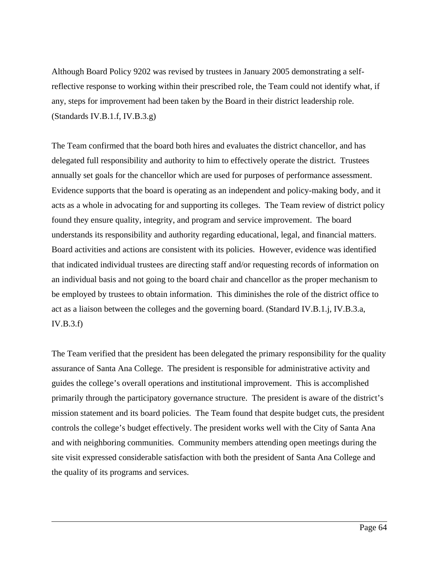Although Board Policy 9202 was revised by trustees in January 2005 demonstrating a selfreflective response to working within their prescribed role, the Team could not identify what, if any, steps for improvement had been taken by the Board in their district leadership role. (Standards IV.B.1.f, IV.B.3.g)

The Team confirmed that the board both hires and evaluates the district chancellor, and has delegated full responsibility and authority to him to effectively operate the district. Trustees annually set goals for the chancellor which are used for purposes of performance assessment. Evidence supports that the board is operating as an independent and policy-making body, and it acts as a whole in advocating for and supporting its colleges. The Team review of district policy found they ensure quality, integrity, and program and service improvement. The board understands its responsibility and authority regarding educational, legal, and financial matters. Board activities and actions are consistent with its policies. However, evidence was identified that indicated individual trustees are directing staff and/or requesting records of information on an individual basis and not going to the board chair and chancellor as the proper mechanism to be employed by trustees to obtain information. This diminishes the role of the district office to act as a liaison between the colleges and the governing board. (Standard IV.B.1.j, IV.B.3.a, IV.B.3.f)

The Team verified that the president has been delegated the primary responsibility for the quality assurance of Santa Ana College. The president is responsible for administrative activity and guides the college's overall operations and institutional improvement. This is accomplished primarily through the participatory governance structure. The president is aware of the district's mission statement and its board policies. The Team found that despite budget cuts, the president controls the college's budget effectively. The president works well with the City of Santa Ana and with neighboring communities. Community members attending open meetings during the site visit expressed considerable satisfaction with both the president of Santa Ana College and the quality of its programs and services.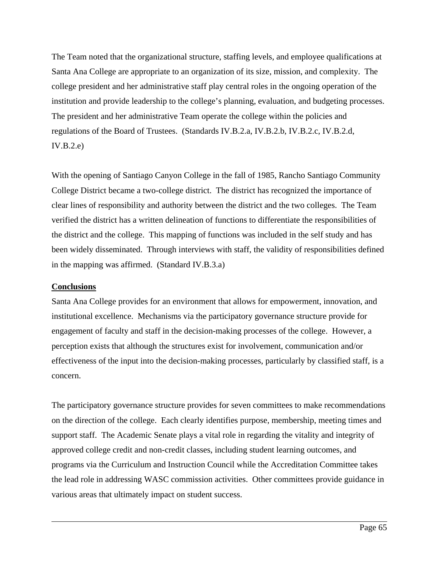The Team noted that the organizational structure, staffing levels, and employee qualifications at Santa Ana College are appropriate to an organization of its size, mission, and complexity. The college president and her administrative staff play central roles in the ongoing operation of the institution and provide leadership to the college's planning, evaluation, and budgeting processes. The president and her administrative Team operate the college within the policies and regulations of the Board of Trustees. (Standards IV.B.2.a, IV.B.2.b, IV.B.2.c, IV.B.2.d,  $IV.B.2.e)$ 

With the opening of Santiago Canyon College in the fall of 1985, Rancho Santiago Community College District became a two-college district. The district has recognized the importance of clear lines of responsibility and authority between the district and the two colleges. The Team verified the district has a written delineation of functions to differentiate the responsibilities of the district and the college. This mapping of functions was included in the self study and has been widely disseminated. Through interviews with staff, the validity of responsibilities defined in the mapping was affirmed. (Standard IV.B.3.a)

## **Conclusions**

 $\overline{a}$ 

Santa Ana College provides for an environment that allows for empowerment, innovation, and institutional excellence. Mechanisms via the participatory governance structure provide for engagement of faculty and staff in the decision-making processes of the college. However, a perception exists that although the structures exist for involvement, communication and/or effectiveness of the input into the decision-making processes, particularly by classified staff, is a concern.

The participatory governance structure provides for seven committees to make recommendations on the direction of the college. Each clearly identifies purpose, membership, meeting times and support staff. The Academic Senate plays a vital role in regarding the vitality and integrity of approved college credit and non-credit classes, including student learning outcomes, and programs via the Curriculum and Instruction Council while the Accreditation Committee takes the lead role in addressing WASC commission activities. Other committees provide guidance in various areas that ultimately impact on student success.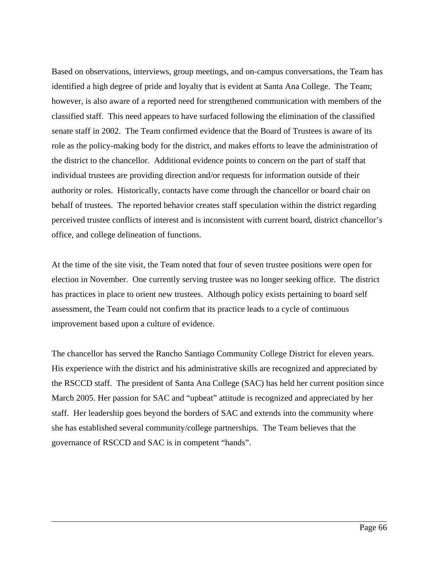Based on observations, interviews, group meetings, and on-campus conversations, the Team has identified a high degree of pride and loyalty that is evident at Santa Ana College. The Team; however, is also aware of a reported need for strengthened communication with members of the classified staff. This need appears to have surfaced following the elimination of the classified senate staff in 2002. The Team confirmed evidence that the Board of Trustees is aware of its role as the policy-making body for the district, and makes efforts to leave the administration of the district to the chancellor. Additional evidence points to concern on the part of staff that individual trustees are providing direction and/or requests for information outside of their authority or roles. Historically, contacts have come through the chancellor or board chair on behalf of trustees. The reported behavior creates staff speculation within the district regarding perceived trustee conflicts of interest and is inconsistent with current board, district chancellor's office, and college delineation of functions.

At the time of the site visit, the Team noted that four of seven trustee positions were open for election in November. One currently serving trustee was no longer seeking office. The district has practices in place to orient new trustees. Although policy exists pertaining to board self assessment, the Team could not confirm that its practice leads to a cycle of continuous improvement based upon a culture of evidence.

The chancellor has served the Rancho Santiago Community College District for eleven years. His experience with the district and his administrative skills are recognized and appreciated by the RSCCD staff. The president of Santa Ana College (SAC) has held her current position since March 2005. Her passion for SAC and "upbeat" attitude is recognized and appreciated by her staff. Her leadership goes beyond the borders of SAC and extends into the community where she has established several community/college partnerships. The Team believes that the governance of RSCCD and SAC is in competent "hands".